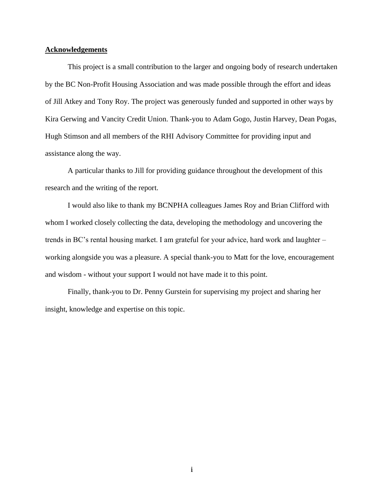## **Acknowledgements**

This project is a small contribution to the larger and ongoing body of research undertaken by the BC Non-Profit Housing Association and was made possible through the effort and ideas of Jill Atkey and Tony Roy. The project was generously funded and supported in other ways by Kira Gerwing and Vancity Credit Union. Thank-you to Adam Gogo, Justin Harvey, Dean Pogas, Hugh Stimson and all members of the RHI Advisory Committee for providing input and assistance along the way.

A particular thanks to Jill for providing guidance throughout the development of this research and the writing of the report.

I would also like to thank my BCNPHA colleagues James Roy and Brian Clifford with whom I worked closely collecting the data, developing the methodology and uncovering the trends in BC's rental housing market. I am grateful for your advice, hard work and laughter – working alongside you was a pleasure. A special thank-you to Matt for the love, encouragement and wisdom - without your support I would not have made it to this point.

Finally, thank-you to Dr. Penny Gurstein for supervising my project and sharing her insight, knowledge and expertise on this topic.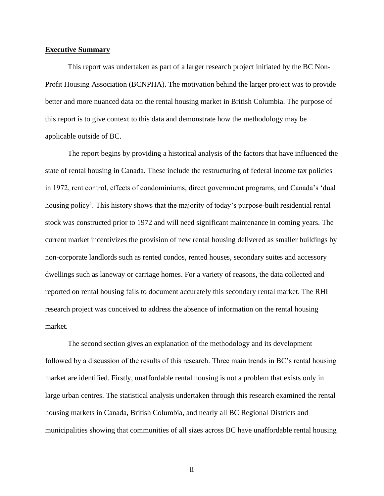#### **Executive Summary**

This report was undertaken as part of a larger research project initiated by the BC Non-Profit Housing Association (BCNPHA). The motivation behind the larger project was to provide better and more nuanced data on the rental housing market in British Columbia. The purpose of this report is to give context to this data and demonstrate how the methodology may be applicable outside of BC.

The report begins by providing a historical analysis of the factors that have influenced the state of rental housing in Canada. These include the restructuring of federal income tax policies in 1972, rent control, effects of condominiums, direct government programs, and Canada's 'dual housing policy'. This history shows that the majority of today's purpose-built residential rental stock was constructed prior to 1972 and will need significant maintenance in coming years. The current market incentivizes the provision of new rental housing delivered as smaller buildings by non-corporate landlords such as rented condos, rented houses, secondary suites and accessory dwellings such as laneway or carriage homes. For a variety of reasons, the data collected and reported on rental housing fails to document accurately this secondary rental market. The RHI research project was conceived to address the absence of information on the rental housing market.

The second section gives an explanation of the methodology and its development followed by a discussion of the results of this research. Three main trends in BC's rental housing market are identified. Firstly, unaffordable rental housing is not a problem that exists only in large urban centres. The statistical analysis undertaken through this research examined the rental housing markets in Canada, British Columbia, and nearly all BC Regional Districts and municipalities showing that communities of all sizes across BC have unaffordable rental housing

ii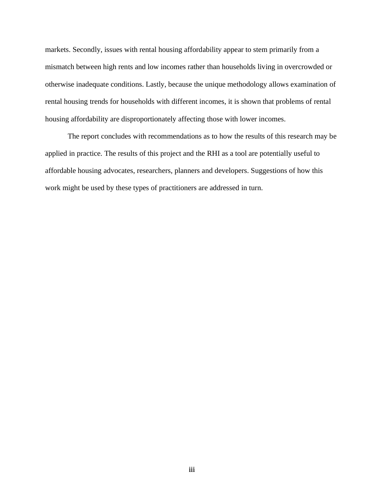markets. Secondly, issues with rental housing affordability appear to stem primarily from a mismatch between high rents and low incomes rather than households living in overcrowded or otherwise inadequate conditions. Lastly, because the unique methodology allows examination of rental housing trends for households with different incomes, it is shown that problems of rental housing affordability are disproportionately affecting those with lower incomes.

The report concludes with recommendations as to how the results of this research may be applied in practice. The results of this project and the RHI as a tool are potentially useful to affordable housing advocates, researchers, planners and developers. Suggestions of how this work might be used by these types of practitioners are addressed in turn.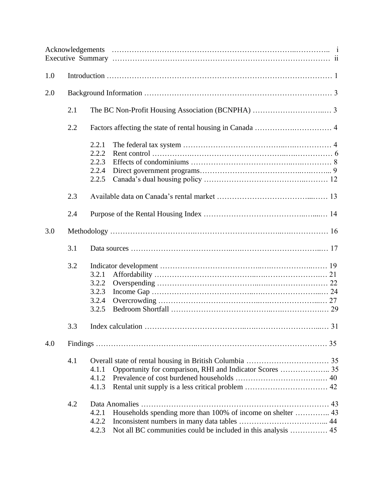| 1.0 |     |                                                                                     |  |  |  |  |  |  |
|-----|-----|-------------------------------------------------------------------------------------|--|--|--|--|--|--|
| 2.0 |     |                                                                                     |  |  |  |  |  |  |
|     | 2.1 |                                                                                     |  |  |  |  |  |  |
|     | 2.2 |                                                                                     |  |  |  |  |  |  |
|     |     | 2.2.1<br>2.2.2<br>2.2.3<br>2.2.4<br>2.2.5                                           |  |  |  |  |  |  |
|     | 2.3 |                                                                                     |  |  |  |  |  |  |
|     | 2.4 |                                                                                     |  |  |  |  |  |  |
| 3.0 |     |                                                                                     |  |  |  |  |  |  |
|     | 3.1 |                                                                                     |  |  |  |  |  |  |
|     | 3.2 | 3.2.1<br>3.2.2<br>3.2.3<br>3.2.4<br>3.2.5                                           |  |  |  |  |  |  |
|     |     |                                                                                     |  |  |  |  |  |  |
| 4.0 |     |                                                                                     |  |  |  |  |  |  |
|     | 4.1 | Opportunity for comparison, RHI and Indicator Scores  35<br>4.1.1<br>4.1.2<br>4.1.3 |  |  |  |  |  |  |
|     | 4.2 | 4.2.1<br>4.2.2<br>4.2.3                                                             |  |  |  |  |  |  |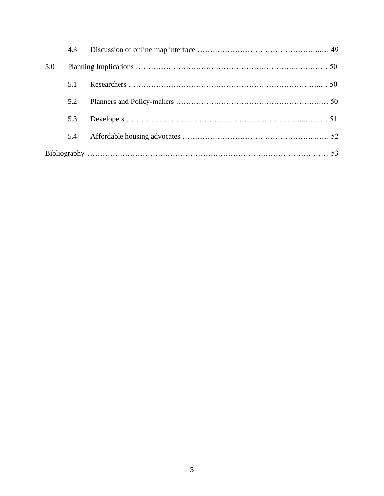|     | 4.3 |  |
|-----|-----|--|
| 5.0 |     |  |
|     | 5.1 |  |
|     | 5.2 |  |
|     | 5.3 |  |
|     | 5.4 |  |
|     |     |  |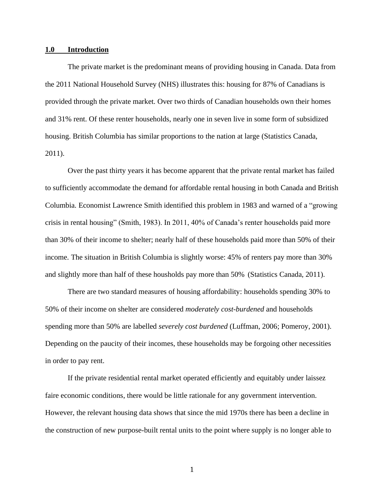#### **1.0 Introduction**

The private market is the predominant means of providing housing in Canada. Data from the 2011 National Household Survey (NHS) illustrates this: housing for 87% of Canadians is provided through the private market. Over two thirds of Canadian households own their homes and 31% rent. Of these renter households, nearly one in seven live in some form of subsidized housing. British Columbia has similar proportions to the nation at large (Statistics Canada, 2011).

Over the past thirty years it has become apparent that the private rental market has failed to sufficiently accommodate the demand for affordable rental housing in both Canada and British Columbia. Economist Lawrence Smith identified this problem in 1983 and warned of a "growing crisis in rental housing" (Smith, 1983). In 2011, 40% of Canada's renter households paid more than 30% of their income to shelter; nearly half of these households paid more than 50% of their income. The situation in British Columbia is slightly worse: 45% of renters pay more than 30% and slightly more than half of these housholds pay more than 50% (Statistics Canada, 2011).

There are two standard measures of housing affordability: households spending 30% to 50% of their income on shelter are considered *moderately cost-burdened* and households spending more than 50% are labelled *severely cost burdened* (Luffman, 2006; Pomeroy, 2001). Depending on the paucity of their incomes, these households may be forgoing other necessities in order to pay rent.

If the private residential rental market operated efficiently and equitably under laissez faire economic conditions, there would be little rationale for any government intervention. However, the relevant housing data shows that since the mid 1970s there has been a decline in the construction of new purpose-built rental units to the point where supply is no longer able to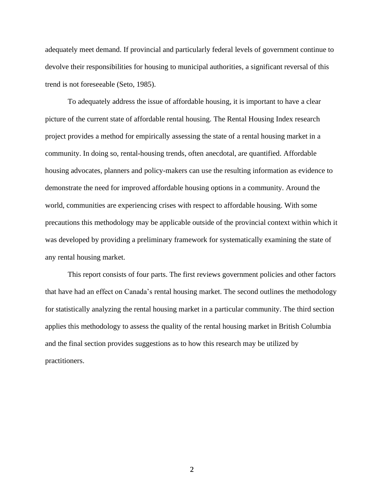adequately meet demand. If provincial and particularly federal levels of government continue to devolve their responsibilities for housing to municipal authorities, a significant reversal of this trend is not foreseeable (Seto, 1985).

To adequately address the issue of affordable housing, it is important to have a clear picture of the current state of affordable rental housing. The Rental Housing Index research project provides a method for empirically assessing the state of a rental housing market in a community. In doing so, rental-housing trends, often anecdotal, are quantified. Affordable housing advocates, planners and policy-makers can use the resulting information as evidence to demonstrate the need for improved affordable housing options in a community. Around the world, communities are experiencing crises with respect to affordable housing. With some precautions this methodology may be applicable outside of the provincial context within which it was developed by providing a preliminary framework for systematically examining the state of any rental housing market.

This report consists of four parts. The first reviews government policies and other factors that have had an effect on Canada's rental housing market. The second outlines the methodology for statistically analyzing the rental housing market in a particular community. The third section applies this methodology to assess the quality of the rental housing market in British Columbia and the final section provides suggestions as to how this research may be utilized by practitioners.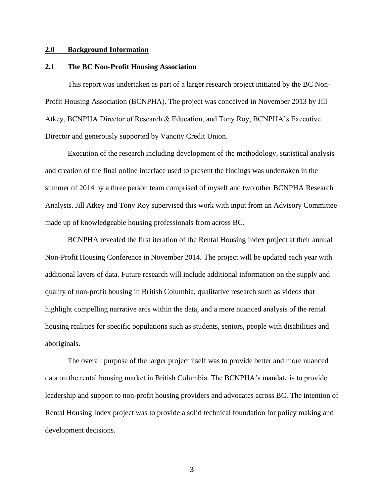## **2.0 Background Information**

## **2.1 The BC Non-Profit Housing Association**

This report was undertaken as part of a larger research project initiated by the BC Non-Profit Housing Association (BCNPHA). The project was conceived in November 2013 by Jill Atkey, BCNPHA Director of Research & Education, and Tony Roy, BCNPHA's Executive Director and generously supported by Vancity Credit Union.

Execution of the research including development of the methodology, statistical analysis and creation of the final online interface used to present the findings was undertaken in the summer of 2014 by a three person team comprised of myself and two other BCNPHA Research Analysts. Jill Atkey and Tony Roy supervised this work with input from an Advisory Committee made up of knowledgeable housing professionals from across BC.

BCNPHA revealed the first iteration of the Rental Housing Index project at their annual Non-Profit Housing Conference in November 2014. The project will be updated each year with additional layers of data. Future research will include additional information on the supply and quality of non-profit housing in British Columbia, qualitative research such as videos that highlight compelling narrative arcs within the data, and a more nuanced analysis of the rental housing realities for specific populations such as students, seniors, people with disabilities and aboriginals.

The overall purpose of the larger project itself was to provide better and more nuanced data on the rental housing market in British Columbia. The BCNPHA's mandate is to provide leadership and support to non-profit housing providers and advocates across BC. The intention of Rental Housing Index project was to provide a solid technical foundation for policy making and development decisions.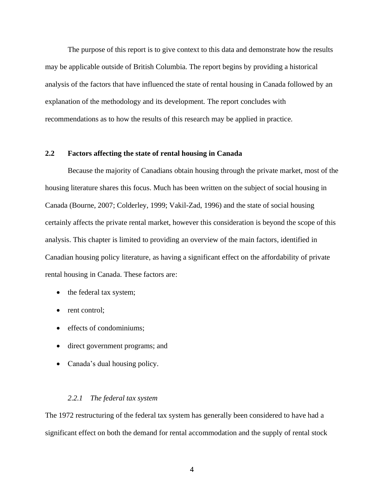The purpose of this report is to give context to this data and demonstrate how the results may be applicable outside of British Columbia. The report begins by providing a historical analysis of the factors that have influenced the state of rental housing in Canada followed by an explanation of the methodology and its development. The report concludes with recommendations as to how the results of this research may be applied in practice.

## **2.2 Factors affecting the state of rental housing in Canada**

Because the majority of Canadians obtain housing through the private market, most of the housing literature shares this focus. Much has been written on the subject of social housing in Canada (Bourne, 2007; Colderley, 1999; Vakil-Zad, 1996) and the state of social housing certainly affects the private rental market, however this consideration is beyond the scope of this analysis. This chapter is limited to providing an overview of the main factors, identified in Canadian housing policy literature, as having a significant effect on the affordability of private rental housing in Canada. These factors are:

- the federal tax system;
- rent control;
- effects of condominiums;
- direct government programs; and
- Canada's dual housing policy.

#### *2.2.1 The federal tax system*

The 1972 restructuring of the federal tax system has generally been considered to have had a significant effect on both the demand for rental accommodation and the supply of rental stock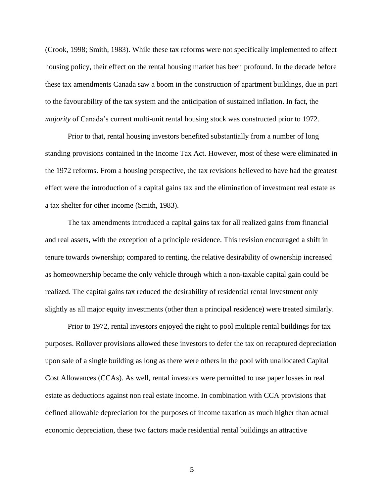(Crook, 1998; Smith, 1983). While these tax reforms were not specifically implemented to affect housing policy, their effect on the rental housing market has been profound. In the decade before these tax amendments Canada saw a boom in the construction of apartment buildings, due in part to the favourability of the tax system and the anticipation of sustained inflation. In fact, the *majority* of Canada's current multi-unit rental housing stock was constructed prior to 1972.

Prior to that, rental housing investors benefited substantially from a number of long standing provisions contained in the Income Tax Act. However, most of these were eliminated in the 1972 reforms. From a housing perspective, the tax revisions believed to have had the greatest effect were the introduction of a capital gains tax and the elimination of investment real estate as a tax shelter for other income (Smith, 1983).

The tax amendments introduced a capital gains tax for all realized gains from financial and real assets, with the exception of a principle residence. This revision encouraged a shift in tenure towards ownership; compared to renting, the relative desirability of ownership increased as homeownership became the only vehicle through which a non-taxable capital gain could be realized. The capital gains tax reduced the desirability of residential rental investment only slightly as all major equity investments (other than a principal residence) were treated similarly.

Prior to 1972, rental investors enjoyed the right to pool multiple rental buildings for tax purposes. Rollover provisions allowed these investors to defer the tax on recaptured depreciation upon sale of a single building as long as there were others in the pool with unallocated Capital Cost Allowances (CCAs). As well, rental investors were permitted to use paper losses in real estate as deductions against non real estate income. In combination with CCA provisions that defined allowable depreciation for the purposes of income taxation as much higher than actual economic depreciation, these two factors made residential rental buildings an attractive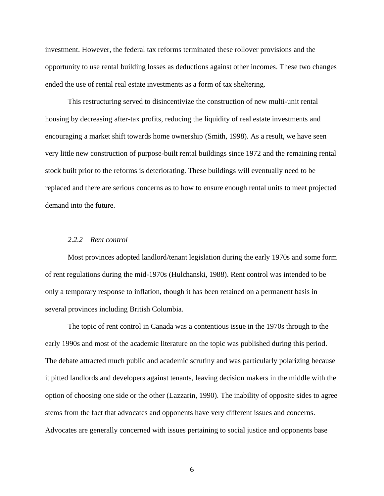investment. However, the federal tax reforms terminated these rollover provisions and the opportunity to use rental building losses as deductions against other incomes. These two changes ended the use of rental real estate investments as a form of tax sheltering.

This restructuring served to disincentivize the construction of new multi-unit rental housing by decreasing after-tax profits, reducing the liquidity of real estate investments and encouraging a market shift towards home ownership (Smith, 1998). As a result, we have seen very little new construction of purpose-built rental buildings since 1972 and the remaining rental stock built prior to the reforms is deteriorating. These buildings will eventually need to be replaced and there are serious concerns as to how to ensure enough rental units to meet projected demand into the future.

#### *2.2.2 Rent control*

Most provinces adopted landlord/tenant legislation during the early 1970s and some form of rent regulations during the mid-1970s (Hulchanski, 1988). Rent control was intended to be only a temporary response to inflation, though it has been retained on a permanent basis in several provinces including British Columbia.

The topic of rent control in Canada was a contentious issue in the 1970s through to the early 1990s and most of the academic literature on the topic was published during this period. The debate attracted much public and academic scrutiny and was particularly polarizing because it pitted landlords and developers against tenants, leaving decision makers in the middle with the option of choosing one side or the other (Lazzarin, 1990). The inability of opposite sides to agree stems from the fact that advocates and opponents have very different issues and concerns. Advocates are generally concerned with issues pertaining to social justice and opponents base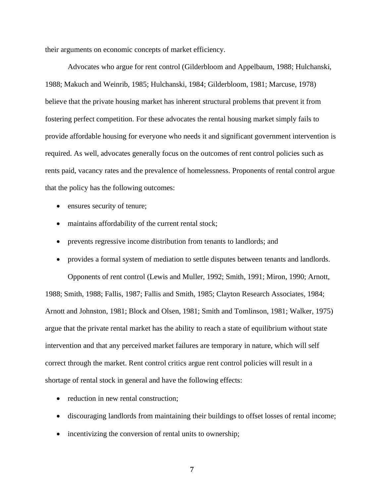their arguments on economic concepts of market efficiency.

Advocates who argue for rent control (Gilderbloom and Appelbaum, 1988; Hulchanski, 1988; Makuch and Weinrib, 1985; Hulchanski, 1984; Gilderbloom, 1981; Marcuse, 1978) believe that the private housing market has inherent structural problems that prevent it from fostering perfect competition. For these advocates the rental housing market simply fails to provide affordable housing for everyone who needs it and significant government intervention is required. As well, advocates generally focus on the outcomes of rent control policies such as rents paid, vacancy rates and the prevalence of homelessness. Proponents of rental control argue that the policy has the following outcomes:

- ensures security of tenure;
- maintains affordability of the current rental stock;
- prevents regressive income distribution from tenants to landlords; and
- provides a formal system of mediation to settle disputes between tenants and landlords. Opponents of rent control (Lewis and Muller, 1992; Smith, 1991; Miron, 1990; Arnott, 1988; Smith, 1988; Fallis, 1987; Fallis and Smith, 1985; Clayton Research Associates, 1984; Arnott and Johnston, 1981; Block and Olsen, 1981; Smith and Tomlinson, 1981; Walker, 1975) argue that the private rental market has the ability to reach a state of equilibrium without state intervention and that any perceived market failures are temporary in nature, which will self correct through the market. Rent control critics argue rent control policies will result in a shortage of rental stock in general and have the following effects:
	- reduction in new rental construction;
	- discouraging landlords from maintaining their buildings to offset losses of rental income;
	- incentivizing the conversion of rental units to ownership;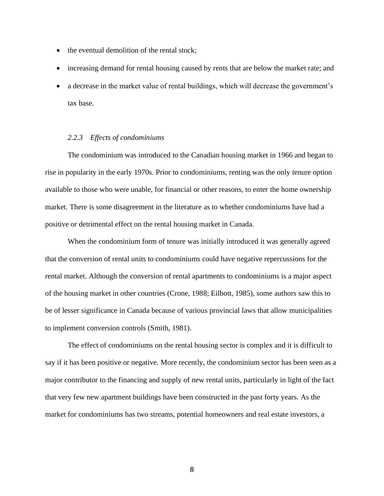- the eventual demolition of the rental stock;
- increasing demand for rental housing caused by rents that are below the market rate; and
- a decrease in the market value of rental buildings, which will decrease the government's tax base.

## *2.2.3 Effects of condominiums*

The condominium was introduced to the Canadian housing market in 1966 and began to rise in popularity in the early 1970s. Prior to condominiums, renting was the only tenure option available to those who were unable, for financial or other reasons, to enter the home ownership market. There is some disagreement in the literature as to whether condominiums have had a positive or detrimental effect on the rental housing market in Canada.

When the condominium form of tenure was initially introduced it was generally agreed that the conversion of rental units to condominiums could have negative repercussions for the rental market. Although the conversion of rental apartments to condominiums is a major aspect of the housing market in other countries (Crone, 1988; Eilbott, 1985), some authors saw this to be of lesser significance in Canada because of various provincial laws that allow municipalities to implement conversion controls (Smith, 1981).

The effect of condominiums on the rental housing sector is complex and it is difficult to say if it has been positive or negative. More recently, the condominium sector has been seen as a major contributor to the financing and supply of new rental units, particularly in light of the fact that very few new apartment buildings have been constructed in the past forty years. As the market for condominiums has two streams, potential homeowners and real estate investors, a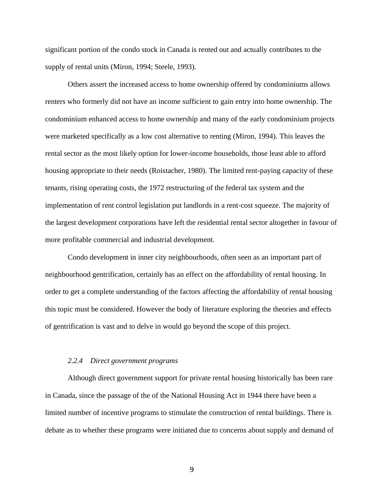significant portion of the condo stock in Canada is rented out and actually contributes to the supply of rental units (Miron, 1994; Steele, 1993).

Others assert the increased access to home ownership offered by condominiums allows renters who formerly did not have an income sufficient to gain entry into home ownership. The condominium enhanced access to home ownership and many of the early condominium projects were marketed specifically as a low cost alternative to renting (Miron, 1994). This leaves the rental sector as the most likely option for lower-income households, those least able to afford housing appropriate to their needs (Roistacher, 1980). The limited rent-paying capacity of these tenants, rising operating costs, the 1972 restructuring of the federal tax system and the implementation of rent control legislation put landlords in a rent-cost squeeze. The majority of the largest development corporations have left the residential rental sector altogether in favour of more profitable commercial and industrial development.

Condo development in inner city neighbourhoods, often seen as an important part of neighbourhood gentrification, certainly has an effect on the affordability of rental housing. In order to get a complete understanding of the factors affecting the affordability of rental housing this topic must be considered. However the body of literature exploring the theories and effects of gentrification is vast and to delve in would go beyond the scope of this project.

### *2.2.4 Direct government programs*

Although direct government support for private rental housing historically has been rare in Canada, since the passage of the of the National Housing Act in 1944 there have been a limited number of incentive programs to stimulate the construction of rental buildings. There is debate as to whether these programs were initiated due to concerns about supply and demand of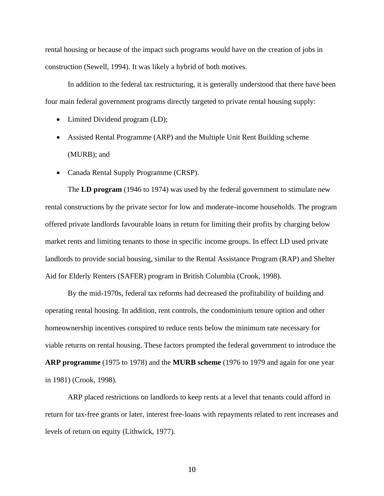rental housing or because of the impact such programs would have on the creation of jobs in construction (Sewell, 1994). It was likely a hybrid of both motives.

In addition to the federal tax restructuring, it is generally understood that there have been four main federal government programs directly targeted to private rental housing supply:

- Limited Dividend program (LD);
- Assisted Rental Programme (ARP) and the Multiple Unit Rent Building scheme (MURB); and
- Canada Rental Supply Programme (CRSP).

The **LD program** (1946 to 1974) was used by the federal government to stimulate new rental constructions by the private sector for low and moderate-income households. The program offered private landlords favourable loans in return for limiting their profits by charging below market rents and limiting tenants to those in specific income groups. In effect LD used private landlords to provide social housing, similar to the Rental Assistance Program (RAP) and Shelter Aid for Elderly Renters (SAFER) program in British Columbia (Crook, 1998).

By the mid-1970s, federal tax reforms had decreased the profitability of building and operating rental housing. In addition, rent controls, the condominium tenure option and other homeownership incentives conspired to reduce rents below the minimum rate necessary for viable returns on rental housing. These factors prompted the federal government to introduce the **ARP programme** (1975 to 1978) and the **MURB scheme** (1976 to 1979 and again for one year in 1981) (Crook, 1998).

ARP placed restrictions on landlords to keep rents at a level that tenants could afford in return for tax-free grants or later, interest free-loans with repayments related to rent increases and levels of return on equity (Lithwick, 1977).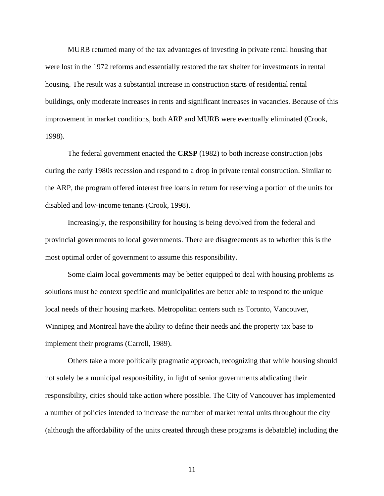MURB returned many of the tax advantages of investing in private rental housing that were lost in the 1972 reforms and essentially restored the tax shelter for investments in rental housing. The result was a substantial increase in construction starts of residential rental buildings, only moderate increases in rents and significant increases in vacancies. Because of this improvement in market conditions, both ARP and MURB were eventually eliminated (Crook, 1998).

The federal government enacted the **CRSP** (1982) to both increase construction jobs during the early 1980s recession and respond to a drop in private rental construction. Similar to the ARP, the program offered interest free loans in return for reserving a portion of the units for disabled and low-income tenants (Crook, 1998).

Increasingly, the responsibility for housing is being devolved from the federal and provincial governments to local governments. There are disagreements as to whether this is the most optimal order of government to assume this responsibility.

Some claim local governments may be better equipped to deal with housing problems as solutions must be context specific and municipalities are better able to respond to the unique local needs of their housing markets. Metropolitan centers such as Toronto, Vancouver, Winnipeg and Montreal have the ability to define their needs and the property tax base to implement their programs (Carroll, 1989).

Others take a more politically pragmatic approach, recognizing that while housing should not solely be a municipal responsibility, in light of senior governments abdicating their responsibility, cities should take action where possible. The City of Vancouver has implemented a number of policies intended to increase the number of market rental units throughout the city (although the affordability of the units created through these programs is debatable) including the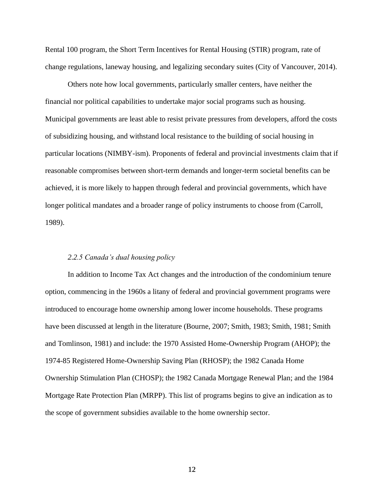Rental 100 program, the Short Term Incentives for Rental Housing (STIR) program, rate of change regulations, laneway housing, and legalizing secondary suites (City of Vancouver, 2014).

Others note how local governments, particularly smaller centers, have neither the financial nor political capabilities to undertake major social programs such as housing. Municipal governments are least able to resist private pressures from developers, afford the costs of subsidizing housing, and withstand local resistance to the building of social housing in particular locations (NIMBY-ism). Proponents of federal and provincial investments claim that if reasonable compromises between short-term demands and longer-term societal benefits can be achieved, it is more likely to happen through federal and provincial governments, which have longer political mandates and a broader range of policy instruments to choose from (Carroll, 1989).

#### *2.2.5 Canada's dual housing policy*

In addition to Income Tax Act changes and the introduction of the condominium tenure option, commencing in the 1960s a litany of federal and provincial government programs were introduced to encourage home ownership among lower income households. These programs have been discussed at length in the literature (Bourne, 2007; Smith, 1983; Smith, 1981; Smith and Tomlinson, 1981) and include: the 1970 Assisted Home-Ownership Program (AHOP); the 1974-85 Registered Home-Ownership Saving Plan (RHOSP); the 1982 Canada Home Ownership Stimulation Plan (CHOSP); the 1982 Canada Mortgage Renewal Plan; and the 1984 Mortgage Rate Protection Plan (MRPP). This list of programs begins to give an indication as to the scope of government subsidies available to the home ownership sector.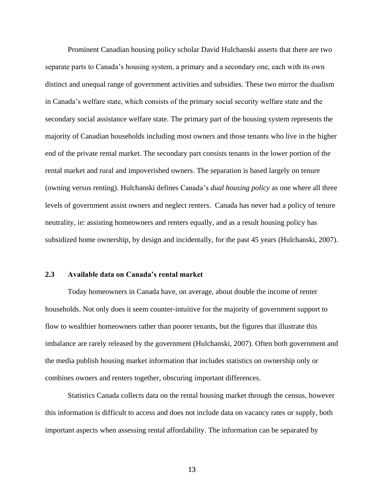Prominent Canadian housing policy scholar David Hulchanski asserts that there are two separate parts to Canada's housing system, a primary and a secondary one, each with its own distinct and unequal range of government activities and subsidies. These two mirror the dualism in Canada's welfare state, which consists of the primary social security welfare state and the secondary social assistance welfare state. The primary part of the housing system represents the majority of Canadian households including most owners and those tenants who live in the higher end of the private rental market. The secondary part consists tenants in the lower portion of the rental market and rural and impoverished owners. The separation is based largely on tenure (owning versus renting). Hulchanski defines Canada's *dual housing policy* as one where all three levels of government assist owners and neglect renters. Canada has never had a policy of tenure neutrality, ie: assisting homeowners and renters equally, and as a result housing policy has subsidized home ownership, by design and incidentally, for the past 45 years (Hulchanski, 2007).

## **2.3 Available data on Canada's rental market**

Today homeowners in Canada have, on average, about double the income of renter households. Not only does it seem counter-intuitive for the majority of government support to flow to wealthier homeowners rather than poorer tenants, but the figures that illustrate this imbalance are rarely released by the government (Hulchanski, 2007). Often both government and the media publish housing market information that includes statistics on ownership only or combines owners and renters together, obscuring important differences.

Statistics Canada collects data on the rental housing market through the census, however this information is difficult to access and does not include data on vacancy rates or supply, both important aspects when assessing rental affordability. The information can be separated by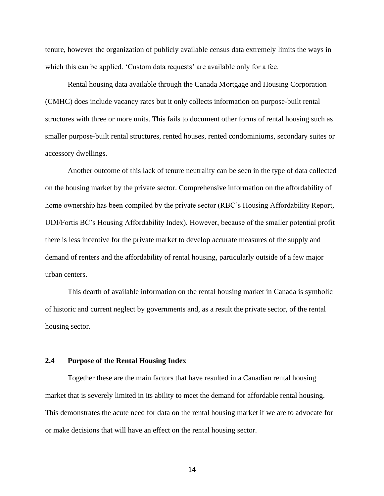tenure, however the organization of publicly available census data extremely limits the ways in which this can be applied. 'Custom data requests' are available only for a fee.

Rental housing data available through the Canada Mortgage and Housing Corporation (CMHC) does include vacancy rates but it only collects information on purpose-built rental structures with three or more units. This fails to document other forms of rental housing such as smaller purpose-built rental structures, rented houses, rented condominiums, secondary suites or accessory dwellings.

Another outcome of this lack of tenure neutrality can be seen in the type of data collected on the housing market by the private sector. Comprehensive information on the affordability of home ownership has been compiled by the private sector (RBC's Housing Affordability Report, UDI/Fortis BC's Housing Affordability Index). However, because of the smaller potential profit there is less incentive for the private market to develop accurate measures of the supply and demand of renters and the affordability of rental housing, particularly outside of a few major urban centers.

This dearth of available information on the rental housing market in Canada is symbolic of historic and current neglect by governments and, as a result the private sector, of the rental housing sector.

## **2.4 Purpose of the Rental Housing Index**

Together these are the main factors that have resulted in a Canadian rental housing market that is severely limited in its ability to meet the demand for affordable rental housing. This demonstrates the acute need for data on the rental housing market if we are to advocate for or make decisions that will have an effect on the rental housing sector.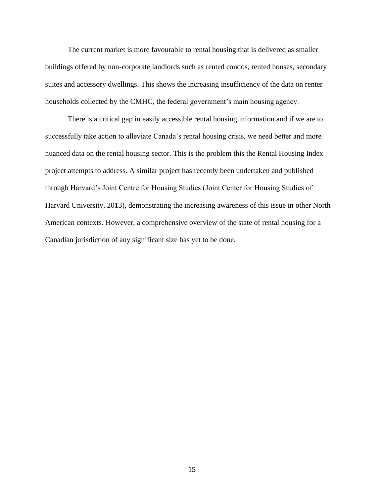The current market is more favourable to rental housing that is delivered as smaller buildings offered by non-corporate landlords such as rented condos, rented houses, secondary suites and accessory dwellings. This shows the increasing insufficiency of the data on renter households collected by the CMHC, the federal government's main housing agency.

There is a critical gap in easily accessible rental housing information and if we are to successfully take action to alleviate Canada's rental housing crisis, we need better and more nuanced data on the rental housing sector. This is the problem this the Rental Housing Index project attempts to address. A similar project has recently been undertaken and published through Harvard's Joint Centre for Housing Studies (Joint Center for Housing Studies of Harvard University, 2013), demonstrating the increasing awareness of this issue in other North American contexts. However, a comprehensive overview of the state of rental housing for a Canadian jurisdiction of any significant size has yet to be done.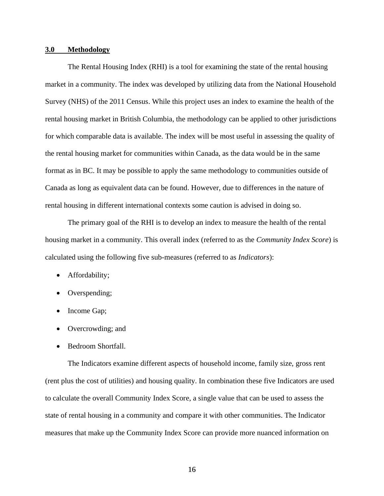## **3.0 Methodology**

The Rental Housing Index (RHI) is a tool for examining the state of the rental housing market in a community. The index was developed by utilizing data from the National Household Survey (NHS) of the 2011 Census. While this project uses an index to examine the health of the rental housing market in British Columbia, the methodology can be applied to other jurisdictions for which comparable data is available. The index will be most useful in assessing the quality of the rental housing market for communities within Canada, as the data would be in the same format as in BC. It may be possible to apply the same methodology to communities outside of Canada as long as equivalent data can be found. However, due to differences in the nature of rental housing in different international contexts some caution is advised in doing so.

The primary goal of the RHI is to develop an index to measure the health of the rental housing market in a community. This overall index (referred to as the *Community Index Score*) is calculated using the following five sub-measures (referred to as *Indicators*):

- Affordability;
- Overspending;
- Income Gap;
- Overcrowding; and
- Bedroom Shortfall.

The Indicators examine different aspects of household income, family size, gross rent (rent plus the cost of utilities) and housing quality. In combination these five Indicators are used to calculate the overall Community Index Score, a single value that can be used to assess the state of rental housing in a community and compare it with other communities. The Indicator measures that make up the Community Index Score can provide more nuanced information on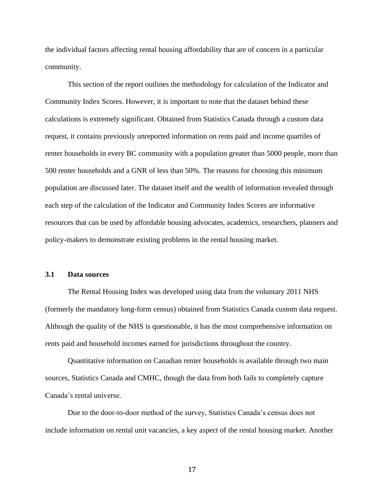the individual factors affecting rental housing affordability that are of concern in a particular community.

This section of the report outlines the methodology for calculation of the Indicator and Community Index Scores. However, it is important to note that the dataset behind these calculations is extremely significant. Obtained from Statistics Canada through a custom data request, it contains previously unreported information on rents paid and income quartiles of renter households in every BC community with a population greater than 5000 people, more than 500 renter households and a GNR of less than 50%. The reasons for choosing this minimum population are discussed later. The dataset itself and the wealth of information revealed through each step of the calculation of the Indicator and Community Index Scores are informative resources that can be used by affordable housing advocates, academics, researchers, planners and policy-makers to demonstrate existing problems in the rental housing market.

#### **3.1 Data sources**

The Rental Housing Index was developed using data from the voluntary 2011 NHS (formerly the mandatory long-form census) obtained from Statistics Canada custom data request. Although the quality of the NHS is questionable, it has the most comprehensive information on rents paid and household incomes earned for jurisdictions throughout the country.

Quantitative information on Canadian renter households is available through two main sources, Statistics Canada and CMHC, though the data from both fails to completely capture Canada's rental universe.

Due to the door-to-door method of the survey, Statistics Canada's census does not include information on rental unit vacancies, a key aspect of the rental housing market. Another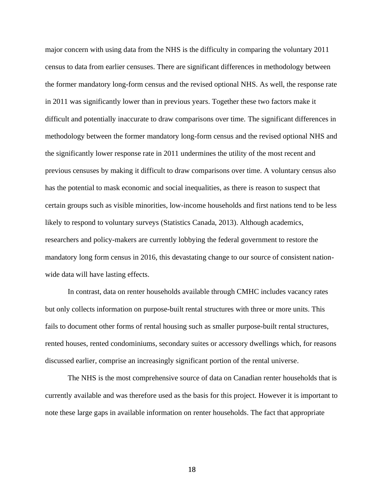major concern with using data from the NHS is the difficulty in comparing the voluntary 2011 census to data from earlier censuses. There are significant differences in methodology between the former mandatory long-form census and the revised optional NHS. As well, the response rate in 2011 was significantly lower than in previous years. Together these two factors make it difficult and potentially inaccurate to draw comparisons over time. The significant differences in methodology between the former mandatory long-form census and the revised optional NHS and the significantly lower response rate in 2011 undermines the utility of the most recent and previous censuses by making it difficult to draw comparisons over time. A voluntary census also has the potential to mask economic and social inequalities, as there is reason to suspect that certain groups such as visible minorities, low-income households and first nations tend to be less likely to respond to voluntary surveys (Statistics Canada, 2013). Although academics, researchers and policy-makers are currently lobbying the federal government to restore the mandatory long form census in 2016, this devastating change to our source of consistent nationwide data will have lasting effects.

In contrast, data on renter households available through CMHC includes vacancy rates but only collects information on purpose-built rental structures with three or more units. This fails to document other forms of rental housing such as smaller purpose-built rental structures, rented houses, rented condominiums, secondary suites or accessory dwellings which, for reasons discussed earlier, comprise an increasingly significant portion of the rental universe.

The NHS is the most comprehensive source of data on Canadian renter households that is currently available and was therefore used as the basis for this project. However it is important to note these large gaps in available information on renter households. The fact that appropriate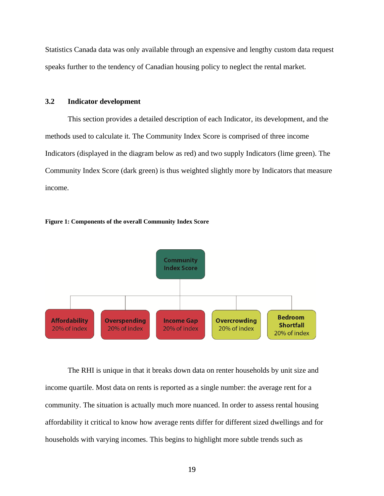Statistics Canada data was only available through an expensive and lengthy custom data request speaks further to the tendency of Canadian housing policy to neglect the rental market.

## **3.2 Indicator development**

This section provides a detailed description of each Indicator, its development, and the methods used to calculate it. The Community Index Score is comprised of three income Indicators (displayed in the diagram below as red) and two supply Indicators (lime green). The Community Index Score (dark green) is thus weighted slightly more by Indicators that measure income.





The RHI is unique in that it breaks down data on renter households by unit size and income quartile. Most data on rents is reported as a single number: the average rent for a community. The situation is actually much more nuanced. In order to assess rental housing affordability it critical to know how average rents differ for different sized dwellings and for households with varying incomes. This begins to highlight more subtle trends such as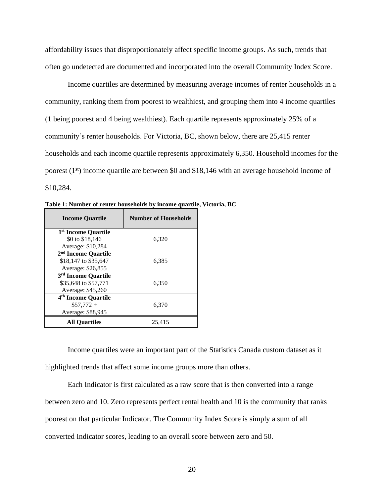affordability issues that disproportionately affect specific income groups. As such, trends that often go undetected are documented and incorporated into the overall Community Index Score.

Income quartiles are determined by measuring average incomes of renter households in a community, ranking them from poorest to wealthiest, and grouping them into 4 income quartiles (1 being poorest and 4 being wealthiest). Each quartile represents approximately 25% of a community's renter households. For Victoria, BC, shown below, there are 25,415 renter households and each income quartile represents approximately 6,350. Household incomes for the poorest  $(1<sup>st</sup>)$  income quartile are between \$0 and \$18,146 with an average household income of \$10,284.

| <b>Income Quartile</b>                                                       | <b>Number of Households</b> |
|------------------------------------------------------------------------------|-----------------------------|
| 1 <sup>st</sup> Income Quartile                                              |                             |
| \$0 to \$18,146<br>Average: \$10,284                                         | 6,320                       |
| 2 <sup>nd</sup> Income Quartile<br>\$18,147 to \$35,647<br>Average: \$26,855 | 6,385                       |
| 3 <sup>rd</sup> Income Quartile<br>\$35,648 to \$57,771<br>Average: \$45,260 | 6,350                       |
| 4 <sup>th</sup> Income Quartile<br>$$57,772+$<br>Average: \$88,945           | 6,370                       |
| <b>All Ouartiles</b>                                                         | 25,415                      |

**Table 1: Number of renter households by income quartile, Victoria, BC**

Income quartiles were an important part of the Statistics Canada custom dataset as it highlighted trends that affect some income groups more than others.

Each Indicator is first calculated as a raw score that is then converted into a range between zero and 10. Zero represents perfect rental health and 10 is the community that ranks poorest on that particular Indicator. The Community Index Score is simply a sum of all converted Indicator scores, leading to an overall score between zero and 50.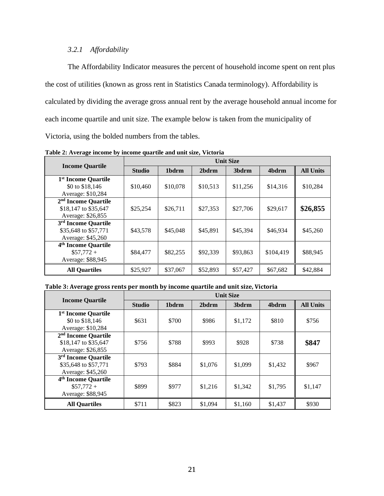# *3.2.1 Affordability*

The Affordability Indicator measures the percent of household income spent on rent plus the cost of utilities (known as gross rent in Statistics Canada terminology). Affordability is calculated by dividing the average gross annual rent by the average household annual income for each income quartile and unit size. The example below is taken from the municipality of Victoria, using the bolded numbers from the tables.

|                                                                              | <b>Unit Size</b> |          |          |          |           |                  |  |
|------------------------------------------------------------------------------|------------------|----------|----------|----------|-----------|------------------|--|
| <b>Income Quartile</b>                                                       | <b>Studio</b>    | 1bdrm    | 2bdrm    | 3bdrm    | 4bdrm     | <b>All Units</b> |  |
| 1 <sup>st</sup> Income Quartile<br>\$0 to \$18,146<br>Average: \$10,284      | \$10,460         | \$10,078 | \$10,513 | \$11,256 | \$14,316  | \$10,284         |  |
| 2 <sup>nd</sup> Income Quartile<br>\$18,147 to \$35,647<br>Average: \$26,855 | \$25,254         | \$26,711 | \$27,353 | \$27,706 | \$29,617  | \$26,855         |  |
| 3 <sup>rd</sup> Income Quartile<br>\$35,648 to \$57,771<br>Average: \$45,260 | \$43,578         | \$45,048 | \$45,891 | \$45,394 | \$46,934  | \$45,260         |  |
| 4 <sup>th</sup> Income Quartile<br>$$57,772+$<br>Average: \$88,945           | \$84,477         | \$82,255 | \$92,339 | \$93,863 | \$104,419 | \$88,945         |  |
| <b>All Ouartiles</b>                                                         | \$25,927         | \$37,067 | \$52,893 | \$57,427 | \$67,682  | \$42,884         |  |

**Table 2: Average income by income quartile and unit size, Victoria** 

### **Table 3: Average gross rents per month by income quartile and unit size, Victoria**

| <b>Income Quartile</b>          | <b>Unit Size</b> |       |         |                   |         |                  |  |
|---------------------------------|------------------|-------|---------|-------------------|---------|------------------|--|
|                                 | <b>Studio</b>    | 1bdrm | 2bdrm   | 3 <sub>bdrm</sub> | 4bdrm   | <b>All Units</b> |  |
| 1 <sup>st</sup> Income Quartile |                  |       |         |                   |         |                  |  |
| \$0 to \$18,146                 | \$631            | \$700 | \$986   | \$1,172           | \$810   | \$756            |  |
| Average: \$10,284               |                  |       |         |                   |         |                  |  |
| 2 <sup>nd</sup> Income Quartile |                  |       |         |                   |         |                  |  |
| \$18,147 to \$35,647            | \$756            | \$788 | \$993   | \$928             | \$738   | \$847            |  |
| Average: \$26,855               |                  |       |         |                   |         |                  |  |
| 3 <sup>rd</sup> Income Quartile |                  |       |         |                   |         |                  |  |
| \$35,648 to \$57,771            | \$793            | \$884 | \$1,076 | \$1,099           | \$1,432 | \$967            |  |
| Average: \$45,260               |                  |       |         |                   |         |                  |  |
| 4 <sup>th</sup> Income Quartile |                  |       |         |                   |         |                  |  |
| $$57,772+$                      | \$899            | \$977 | \$1,216 | \$1,342           | \$1,795 | \$1,147          |  |
| Average: \$88,945               |                  |       |         |                   |         |                  |  |
| <b>All Quartiles</b>            | \$711            | \$823 | \$1,094 | \$1,160           | \$1,437 | \$930            |  |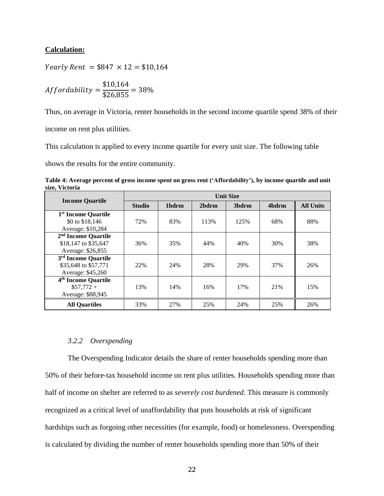## **Calculation:**

Yearly Rent =  $$847 \times 12 = $10,164$ 

$$
Affordability = \frac{\$10,164}{\$26,855} = 38\%
$$

Thus, on average in Victoria, renter households in the second income quartile spend 38% of their income on rent plus utilities.

This calculation is applied to every income quartile for every unit size. The following table

shows the results for the entire community.

**Table 4: Average percent of gross income spent on gross rent ('Affordability'), by income quartile and unit size, Victoria**

|                                                                              | <b>Unit Size</b> |       |       |       |       |                  |  |
|------------------------------------------------------------------------------|------------------|-------|-------|-------|-------|------------------|--|
| <b>Income Quartile</b>                                                       | <b>Studio</b>    | 1bdrm | 2bdrm | 3bdrm | 4bdrm | <b>All Units</b> |  |
| 1 <sup>st</sup> Income Quartile<br>\$0 to \$18,146<br>Average: \$10,284      | 72%              | 83%   | 113%  | 125%  | 68%   | 88%              |  |
| 2 <sup>nd</sup> Income Quartile<br>\$18,147 to \$35,647<br>Average: \$26,855 | 36%              | 35%   | 44%   | 40%   | 30%   | 38%              |  |
| 3 <sup>rd</sup> Income Quartile<br>\$35,648 to \$57,771<br>Average: \$45,260 | 22%              | 24%   | 28%   | 29%   | 37%   | 26%              |  |
| 4 <sup>th</sup> Income Quartile<br>$$57,772+$<br>Average: \$88,945           | 13%              | 14%   | 16%   | 17%   | 21%   | 15%              |  |
| <b>All Ouartiles</b>                                                         | 33%              | 27%   | 25%   | 24%   | 25%   | 26%              |  |

## *3.2.2 Overspending*

The Overspending Indicator details the share of renter households spending more than 50% of their before-tax household income on rent plus utilities. Households spending more than half of income on shelter are referred to as *severely cost burdened*. This measure is commonly recognized as a critical level of unaffordability that puts households at risk of significant hardships such as forgoing other necessities (for example, food) or homelessness. Overspending is calculated by dividing the number of renter households spending more than 50% of their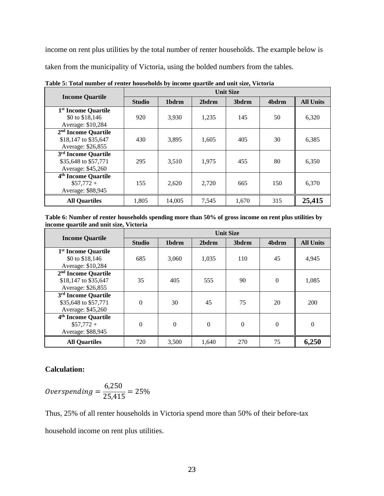income on rent plus utilities by the total number of renter households. The example below is taken from the municipality of Victoria, using the bolded numbers from the tables.

| <b>Income Quartile</b>          | <b>Unit Size</b> |        |       |                   |       |                  |  |
|---------------------------------|------------------|--------|-------|-------------------|-------|------------------|--|
|                                 | <b>Studio</b>    | 1bdrm  | 2bdrm | 3 <sub>bdrm</sub> | 4bdrm | <b>All Units</b> |  |
| 1 <sup>st</sup> Income Quartile |                  |        |       |                   |       |                  |  |
| \$0 to \$18,146                 | 920              | 3,930  | 1,235 | 145               | 50    | 6,320            |  |
| Average: \$10,284               |                  |        |       |                   |       |                  |  |
| 2 <sup>nd</sup> Income Quartile |                  |        |       |                   |       |                  |  |
| \$18,147 to \$35,647            | 430              | 3,895  | 1,605 | 405               | 30    | 6,385            |  |
| Average: \$26,855               |                  |        |       |                   |       |                  |  |
| 3 <sup>rd</sup> Income Quartile |                  |        |       |                   |       |                  |  |
| \$35,648 to \$57,771            | 295              | 3,510  | 1.975 | 455               | 80    | 6,350            |  |
| Average: \$45,260               |                  |        |       |                   |       |                  |  |
| 4 <sup>th</sup> Income Quartile |                  |        |       |                   |       |                  |  |
| $$57,772+$                      | 155              | 2.620  | 2.720 | 665               | 150   | 6,370            |  |
| Average: \$88,945               |                  |        |       |                   |       |                  |  |
| <b>All Quartiles</b>            | 1,805            | 14.005 | 7,545 | 1,670             | 315   | 25,415           |  |

**Table 5: Total number of renter households by income quartile and unit size, Victoria** 

**Table 6: Number of renter households spending more than 50% of gross income on rent plus utilities by income quartile and unit size, Victoria**

| <b>Income Quartile</b>                                                       | <b>Unit Size</b> |          |          |          |          |                  |  |
|------------------------------------------------------------------------------|------------------|----------|----------|----------|----------|------------------|--|
|                                                                              | <b>Studio</b>    | 1bdrm    | 2bdrm    | 3bdrm    | 4bdrm    | <b>All Units</b> |  |
| 1 <sup>st</sup> Income Quartile<br>\$0 to \$18,146<br>Average: \$10,284      | 685              | 3,060    | 1,035    | 110      | 45       | 4,945            |  |
| 2 <sup>nd</sup> Income Quartile<br>\$18,147 to \$35,647<br>Average: \$26,855 | 35               | 405      | 555      | 90       | $\theta$ | 1,085            |  |
| 3 <sup>rd</sup> Income Quartile<br>\$35,648 to \$57,771<br>Average: \$45,260 | $\Omega$         | 30       | 45       | 75       | 20       | 200              |  |
| 4 <sup>th</sup> Income Quartile<br>$$57,772+$<br>Average: \$88,945           | $\theta$         | $\Omega$ | $\Omega$ | $\Omega$ | $\theta$ | $\theta$         |  |
| <b>All Quartiles</b>                                                         | 720              | 3,500    | 1,640    | 270      | 75       | 6,250            |  |

# **Calculation:**

*Overspending* = 
$$
\frac{6,250}{25,415}
$$
 = 25%

Thus, 25% of all renter households in Victoria spend more than 50% of their before-tax household income on rent plus utilities.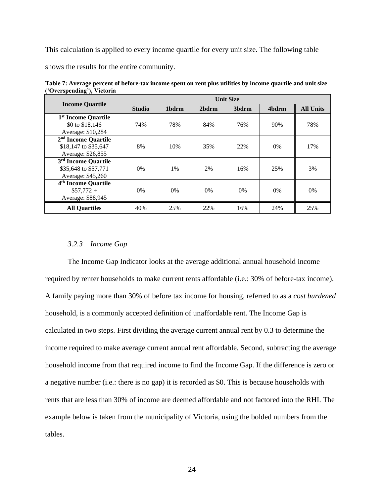This calculation is applied to every income quartile for every unit size. The following table

shows the results for the entire community.

|                                 | <b>Unit Size</b> |       |       |       |       |                  |  |
|---------------------------------|------------------|-------|-------|-------|-------|------------------|--|
| <b>Income Quartile</b>          | <b>Studio</b>    | 1bdrm | 2bdrm | 3bdrm | 4bdrm | <b>All Units</b> |  |
| 1 <sup>st</sup> Income Quartile |                  |       |       |       |       |                  |  |
| \$0 to \$18,146                 | 74%              | 78%   | 84%   | 76%   | 90%   | 78%              |  |
| Average: \$10,284               |                  |       |       |       |       |                  |  |
| 2 <sup>nd</sup> Income Quartile |                  |       |       |       |       |                  |  |
| \$18,147 to \$35,647            | 8%               | 10%   | 35%   | 22%   | $0\%$ | 17%              |  |
| Average: \$26,855               |                  |       |       |       |       |                  |  |
| 3rd Income Quartile             |                  |       |       |       |       |                  |  |
| \$35,648 to \$57,771            | $0\%$            | $1\%$ | 2%    | 16%   | 25%   | 3%               |  |
| Average: \$45,260               |                  |       |       |       |       |                  |  |
| 4 <sup>th</sup> Income Quartile |                  |       |       |       |       |                  |  |
| $$57,772+$                      | $0\%$            | $0\%$ | $0\%$ | $0\%$ | 0%    | $0\%$            |  |
| Average: \$88,945               |                  |       |       |       |       |                  |  |
| <b>All Quartiles</b>            | 40%              | 25%   | 22%   | 16%   | 24%   | 25%              |  |

**Table 7: Average percent of before-tax income spent on rent plus utilities by income quartile and unit size ('Overspending'), Victoria** 

#### *3.2.3 Income Gap*

The Income Gap Indicator looks at the average additional annual household income required by renter households to make current rents affordable (i.e.: 30% of before-tax income). A family paying more than 30% of before tax income for housing, referred to as a *cost burdened* household, is a commonly accepted definition of unaffordable rent. The Income Gap is calculated in two steps. First dividing the average current annual rent by 0.3 to determine the income required to make average current annual rent affordable. Second, subtracting the average household income from that required income to find the Income Gap. If the difference is zero or a negative number (i.e.: there is no gap) it is recorded as \$0. This is because households with rents that are less than 30% of income are deemed affordable and not factored into the RHI. The example below is taken from the municipality of Victoria, using the bolded numbers from the tables.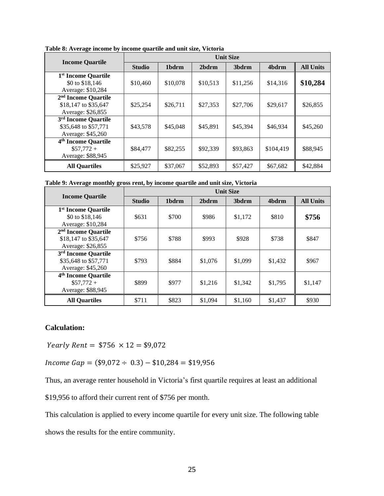| -                               | <b>Unit Size</b> |          |          |                   |           |                  |  |
|---------------------------------|------------------|----------|----------|-------------------|-----------|------------------|--|
| <b>Income Quartile</b>          | <b>Studio</b>    | 1bdrm    | 2bdrm    | 3 <sub>bdrm</sub> | 4bdrm     | <b>All Units</b> |  |
| 1 <sup>st</sup> Income Quartile |                  |          |          |                   |           |                  |  |
| \$0 to \$18,146                 | \$10,460         | \$10,078 | \$10,513 | \$11,256          | \$14,316  | \$10,284         |  |
| Average: \$10,284               |                  |          |          |                   |           |                  |  |
| 2 <sup>nd</sup> Income Quartile |                  |          |          |                   |           |                  |  |
| \$18,147 to \$35,647            | \$25,254         | \$26,711 | \$27,353 | \$27,706          | \$29,617  | \$26,855         |  |
| Average: \$26,855               |                  |          |          |                   |           |                  |  |
| 3 <sup>rd</sup> Income Quartile |                  |          |          |                   |           |                  |  |
| \$35,648 to \$57,771            | \$43,578         | \$45,048 | \$45,891 | \$45,394          | \$46,934  | \$45,260         |  |
| Average: \$45,260               |                  |          |          |                   |           |                  |  |
| 4 <sup>th</sup> Income Quartile |                  |          |          |                   |           |                  |  |
| $$57,772+$                      | \$84,477         | \$82,255 | \$92,339 | \$93,863          | \$104,419 | \$88,945         |  |
| Average: \$88,945               |                  |          |          |                   |           |                  |  |
| <b>All Ouartiles</b>            | \$25,927         | \$37,067 | \$52,893 | \$57,427          | \$67,682  | \$42,884         |  |

**Table 8: Average income by income quartile and unit size, Victoria**

| Table 9: Average monthly gross rent, by income quartile and unit size, Victoria |
|---------------------------------------------------------------------------------|
|---------------------------------------------------------------------------------|

|                                 | <b>Unit Size</b> |       |         |         |         |                  |  |
|---------------------------------|------------------|-------|---------|---------|---------|------------------|--|
| <b>Income Quartile</b>          | <b>Studio</b>    | 1bdrm | 2bdrm   | 3bdrm   | 4bdrm   | <b>All Units</b> |  |
| 1 <sup>st</sup> Income Quartile |                  |       |         |         |         |                  |  |
| \$0 to \$18,146                 | \$631            | \$700 | \$986   | \$1,172 | \$810   | \$756            |  |
| Average: \$10,284               |                  |       |         |         |         |                  |  |
| 2 <sup>nd</sup> Income Quartile |                  |       |         |         |         |                  |  |
| \$18,147 to \$35,647            | \$756            | \$788 | \$993   | \$928   | \$738   | \$847            |  |
| Average: \$26,855               |                  |       |         |         |         |                  |  |
| 3 <sup>rd</sup> Income Quartile |                  |       |         |         |         |                  |  |
| \$35,648 to \$57,771            | \$793            | \$884 | \$1,076 | \$1,099 | \$1,432 | \$967            |  |
| Average: \$45,260               |                  |       |         |         |         |                  |  |
| 4 <sup>th</sup> Income Quartile |                  |       |         |         |         |                  |  |
| $$57,772+$                      | \$899            | \$977 | \$1,216 | \$1,342 | \$1,795 | \$1,147          |  |
| Average: \$88,945               |                  |       |         |         |         |                  |  |
| <b>All Quartiles</b>            | \$711            | \$823 | \$1,094 | \$1,160 | \$1,437 | \$930            |  |

# **Calculation:**

Yearly Rent =  $$756 \times 12 = $9,072$ 

 $Income Gap = ($9,072 \div 0.3) - $10,284 = $19,956$ 

Thus, an average renter household in Victoria's first quartile requires at least an additional

\$19,956 to afford their current rent of \$756 per month.

This calculation is applied to every income quartile for every unit size. The following table

shows the results for the entire community.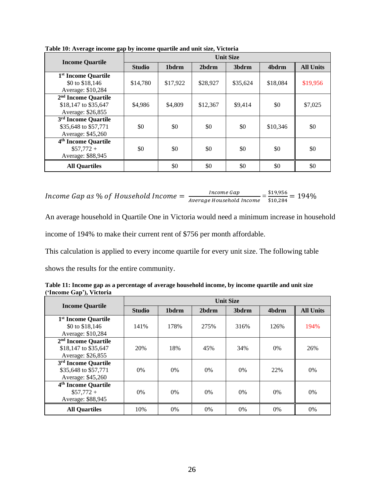|                                 | <b>Unit Size</b> |          |          |                   |          |                  |
|---------------------------------|------------------|----------|----------|-------------------|----------|------------------|
| <b>Income Quartile</b>          | <b>Studio</b>    | 1bdrm    | 2bdrm    | 3 <sub>bdrm</sub> | 4bdrm    | <b>All Units</b> |
| 1 <sup>st</sup> Income Quartile |                  |          |          |                   |          |                  |
| \$0 to \$18,146                 | \$14,780         | \$17,922 | \$28,927 | \$35,624          | \$18,084 | \$19,956         |
| Average: \$10,284               |                  |          |          |                   |          |                  |
| 2 <sup>nd</sup> Income Quartile |                  |          |          |                   |          |                  |
| \$18,147 to \$35,647            | \$4,986          | \$4,809  | \$12,367 | \$9.414           | \$0      | \$7,025          |
| Average: \$26,855               |                  |          |          |                   |          |                  |
| 3 <sup>rd</sup> Income Quartile |                  |          |          |                   |          |                  |
| \$35,648 to \$57,771            | \$0              | \$0      | \$0      | \$0               | \$10,346 | \$0              |
| Average: \$45,260               |                  |          |          |                   |          |                  |
| 4 <sup>th</sup> Income Quartile |                  |          |          |                   |          |                  |
| $$57,772+$                      | \$0              | \$0      | \$0      | \$0               | \$0      | \$0              |
| Average: \$88,945               |                  |          |          |                   |          |                  |
| <b>All Quartiles</b>            |                  | \$0      | \$0      | \$0               | \$0      | \$0              |

**Table 10: Average income gap by income quartile and unit size, Victoria**

Income Gap as % of Household Income  $=\frac{Income Gap}{Incre}$ Income Gap<br>Average Household Income =  $\frac{\$19,956}{\$10,284}$  $\frac{$15,950}{$10,284} = 194\%$ 

An average household in Quartile One in Victoria would need a minimum increase in household income of 194% to make their current rent of \$756 per month affordable.

This calculation is applied to every income quartile for every unit size. The following table

shows the results for the entire community.

| Table 11: Income gap as a percentage of average household income, by income quartile and unit size |  |
|----------------------------------------------------------------------------------------------------|--|
| ('Income Gap'), Victoria                                                                           |  |

|                                 | <b>Unit Size</b> |       |       |                   |       |                  |
|---------------------------------|------------------|-------|-------|-------------------|-------|------------------|
| <b>Income Quartile</b>          | <b>Studio</b>    | 1bdrm | 2bdrm | 3 <sub>bdrm</sub> | 4bdrm | <b>All Units</b> |
| 1 <sup>st</sup> Income Quartile |                  |       |       |                   |       |                  |
| \$0 to \$18,146                 | 141%             | 178%  | 275%  | 316%              | 126%  | 194%             |
| Average: \$10,284               |                  |       |       |                   |       |                  |
| 2 <sup>nd</sup> Income Quartile |                  |       |       |                   |       |                  |
| \$18,147 to \$35,647            | 20%              | 18%   | 45%   | 34%               | $0\%$ | 26%              |
| Average: \$26,855               |                  |       |       |                   |       |                  |
| 3 <sup>rd</sup> Income Quartile |                  |       |       |                   |       |                  |
| \$35,648 to \$57,771            | 0%               | $0\%$ | 0%    | $0\%$             | 22%   | 0%               |
| Average: \$45,260               |                  |       |       |                   |       |                  |
| 4 <sup>th</sup> Income Quartile |                  |       |       |                   |       |                  |
| $$57,772+$                      | $0\%$            | $0\%$ | 0%    | $0\%$             | $0\%$ | 0%               |
| Average: \$88,945               |                  |       |       |                   |       |                  |
| <b>All Ouartiles</b>            | 10%              | $0\%$ | $0\%$ | 0%                | $0\%$ | 0%               |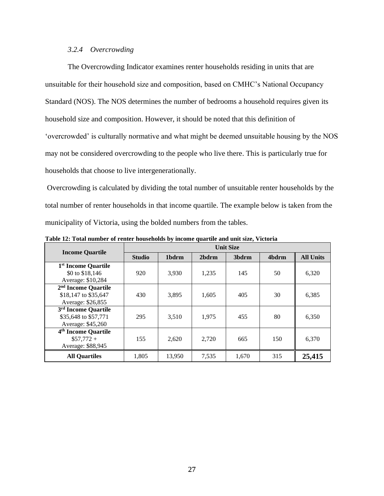## *3.2.4 Overcrowding*

The Overcrowding Indicator examines renter households residing in units that are unsuitable for their household size and composition, based on CMHC's National Occupancy Standard (NOS). The NOS determines the number of bedrooms a household requires given its household size and composition. However, it should be noted that this definition of 'overcrowded' is culturally normative and what might be deemed unsuitable housing by the NOS may not be considered overcrowding to the people who live there. This is particularly true for households that choose to live intergenerationally.

Overcrowding is calculated by dividing the total number of unsuitable renter households by the total number of renter households in that income quartile. The example below is taken from the municipality of Victoria, using the bolded numbers from the tables.

|                                 | <b>Unit Size</b> |        |       |       |       |                  |
|---------------------------------|------------------|--------|-------|-------|-------|------------------|
| <b>Income Quartile</b>          | <b>Studio</b>    | 1bdrm  | 2bdrm | 3bdrm | 4bdrm | <b>All Units</b> |
| 1 <sup>st</sup> Income Quartile |                  |        |       |       |       |                  |
| \$0 to \$18,146                 | 920              | 3,930  | 1,235 | 145   | 50    | 6,320            |
| Average: \$10,284               |                  |        |       |       |       |                  |
| 2 <sup>nd</sup> Income Quartile |                  |        |       |       |       |                  |
| \$18,147 to \$35,647            | 430              | 3,895  | 1,605 | 405   | 30    | 6,385            |
| Average: \$26,855               |                  |        |       |       |       |                  |
| 3 <sup>rd</sup> Income Quartile |                  |        |       |       |       |                  |
| \$35,648 to \$57,771            | 295              | 3,510  | 1,975 | 455   | 80    | 6,350            |
| Average: \$45,260               |                  |        |       |       |       |                  |
| 4 <sup>th</sup> Income Quartile |                  |        |       |       |       |                  |
| $$57.772+$                      | 155              | 2,620  | 2.720 | 665   | 150   | 6,370            |
| Average: \$88,945               |                  |        |       |       |       |                  |
| <b>All Quartiles</b>            | 1,805            | 13,950 | 7,535 | 1,670 | 315   | 25,415           |

**Table 12: Total number of renter households by income quartile and unit size, Victoria**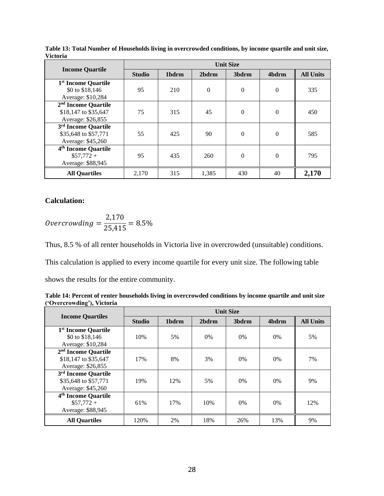|                                 | <b>Unit Size</b> |       |          |                   |          |                  |
|---------------------------------|------------------|-------|----------|-------------------|----------|------------------|
| <b>Income Quartile</b>          | <b>Studio</b>    | 1bdrm | 2bdrm    | 3 <sub>bdrm</sub> | 4bdrm    | <b>All Units</b> |
| 1 <sup>st</sup> Income Quartile |                  |       |          |                   |          |                  |
| \$0 to \$18,146                 | 95               | 210   | $\theta$ | $\Omega$          | $\Omega$ | 335              |
| Average: \$10,284               |                  |       |          |                   |          |                  |
| 2 <sup>nd</sup> Income Quartile |                  |       |          |                   |          |                  |
| \$18,147 to \$35,647            | 75               | 315   | 45       | $\Omega$          | $\Omega$ | 450              |
| Average: \$26,855               |                  |       |          |                   |          |                  |
| 3 <sup>rd</sup> Income Quartile |                  |       |          |                   |          |                  |
| \$35,648 to \$57,771            | 55               | 425   | 90       | $\Omega$          | $\Omega$ | 585              |
| Average: \$45,260               |                  |       |          |                   |          |                  |
| 4 <sup>th</sup> Income Quartile |                  |       |          |                   |          |                  |
| $$57,772+$                      | 95               | 435   | 260      | $\Omega$          | $\Omega$ | 795              |
| Average: \$88,945               |                  |       |          |                   |          |                  |
| <b>All Quartiles</b>            | 2,170            | 315   | 1,385    | 430               | 40       | 2,170            |

**Table 13: Total Number of Households living in overcrowded conditions, by income quartile and unit size, Victoria**

# **Calculation:**

$$
Overcrowding = \frac{2,170}{25,415} = 8.5\%
$$

Thus, 8.5 % of all renter households in Victoria live in overcrowded (unsuitable) conditions.

This calculation is applied to every income quartile for every unit size. The following table

shows the results for the entire community.

| Table 14: Percent of renter households living in overcrowded conditions by income quartile and unit size |  |
|----------------------------------------------------------------------------------------------------------|--|
| ('Overcrowding'), Victoria                                                                               |  |

|                                 | <b>Unit Size</b> |       |       |       |       |                  |
|---------------------------------|------------------|-------|-------|-------|-------|------------------|
| <b>Income Quartiles</b>         | <b>Studio</b>    | 1bdrm | 2bdrm | 3bdrm | 4bdrm | <b>All Units</b> |
| 1 <sup>st</sup> Income Quartile |                  |       |       |       |       |                  |
| \$0 to \$18,146                 | 10%              | 5%    | 0%    | $0\%$ | 0%    | 5%               |
| Average: \$10,284               |                  |       |       |       |       |                  |
| 2 <sup>nd</sup> Income Quartile |                  |       |       |       |       |                  |
| \$18,147 to \$35,647            | 17%              | 8%    | 3%    | $0\%$ | $0\%$ | 7%               |
| Average: \$26,855               |                  |       |       |       |       |                  |
| 3 <sup>rd</sup> Income Quartile |                  |       |       |       |       |                  |
| \$35,648 to \$57,771            | 19%              | 12%   | 5%    | $0\%$ | $0\%$ | 9%               |
| Average: \$45,260               |                  |       |       |       |       |                  |
| 4 <sup>th</sup> Income Quartile |                  |       |       |       |       |                  |
| $$57,772+$                      | 61%              | 17%   | 10%   | $0\%$ | $0\%$ | 12%              |
| Average: \$88,945               |                  |       |       |       |       |                  |
| <b>All Quartiles</b>            | 120%             | 2%    | 18%   | 26%   | 13%   | 9%               |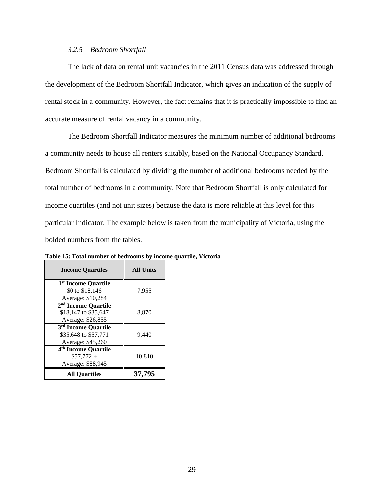## *3.2.5 Bedroom Shortfall*

The lack of data on rental unit vacancies in the 2011 Census data was addressed through the development of the Bedroom Shortfall Indicator, which gives an indication of the supply of rental stock in a community. However, the fact remains that it is practically impossible to find an accurate measure of rental vacancy in a community.

The Bedroom Shortfall Indicator measures the minimum number of additional bedrooms a community needs to house all renters suitably, based on the National Occupancy Standard. Bedroom Shortfall is calculated by dividing the number of additional bedrooms needed by the total number of bedrooms in a community. Note that Bedroom Shortfall is only calculated for income quartiles (and not unit sizes) because the data is more reliable at this level for this particular Indicator. The example below is taken from the municipality of Victoria, using the bolded numbers from the tables.

| <b>Income Quartiles</b>         | <b>All Units</b> |  |  |
|---------------------------------|------------------|--|--|
| 1 <sup>st</sup> Income Quartile |                  |  |  |
| \$0 to \$18,146                 | 7,955            |  |  |
| Average: \$10,284               |                  |  |  |
| 2 <sup>nd</sup> Income Quartile |                  |  |  |
| \$18,147 to \$35,647            | 8,870            |  |  |
| Average: \$26,855               |                  |  |  |
| 3rd Income Quartile             |                  |  |  |
| \$35,648 to \$57,771            | 9,440            |  |  |
| Average: \$45,260               |                  |  |  |
| 4 <sup>th</sup> Income Quartile |                  |  |  |
| $$57.772+$                      | 10.810           |  |  |
| Average: \$88,945               |                  |  |  |
| <b>All Ouartiles</b>            | 37,795           |  |  |

**Table 15: Total number of bedrooms by income quartile, Victoria**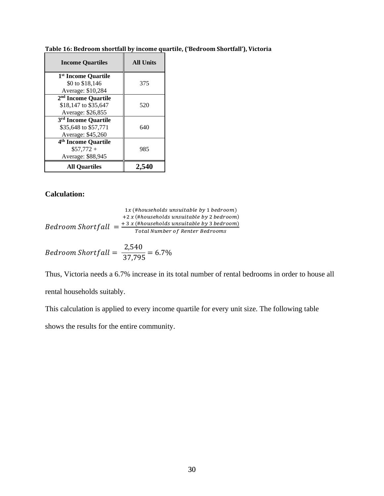| <b>Income Quartiles</b>                                                      | <b>All Units</b> |
|------------------------------------------------------------------------------|------------------|
| 1 <sup>st</sup> Income Quartile<br>\$0 to \$18,146                           | 375              |
| Average: \$10,284                                                            |                  |
| 2 <sup>nd</sup> Income Quartile<br>\$18,147 to \$35,647<br>Average: \$26,855 | 520              |
| 3rd Income Quartile<br>\$35,648 to \$57,771<br>Average: \$45,260             | 640              |
| 4 <sup>th</sup> Income Quartile<br>$\$57.772+$<br>Average: \$88,945          | 985              |
| <b>All Ouartiles</b>                                                         | 2.54             |

**Table 16: Bedroom shortfall by income quartile, ('Bedroom Shortfall'), Victoria** 

# **Calculation:**

$$
1x \times (\text{\#households unsuitable by 1 bedroom})
$$
  
+2 x (\text{\#households unsuitable by 2 bedroom})  
Bedroom Shortfall = 
$$
\frac{+3 x \times (\text{\#households unsuitable by 3 bedroom})}{Total Number of Renter Bedrooms}
$$

$$
Bedroom Shortfall = \frac{2,540}{37,795} = 6.7\%
$$

Thus, Victoria needs a 6.7% increase in its total number of rental bedrooms in order to house all rental households suitably.

This calculation is applied to every income quartile for every unit size. The following table

shows the results for the entire community.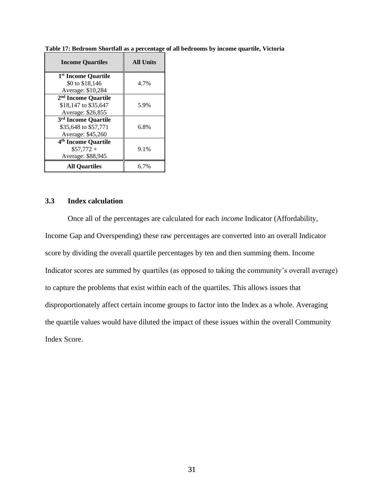| <b>Income Quartiles</b>                                                      | <b>All Units</b> |
|------------------------------------------------------------------------------|------------------|
| 1 <sup>st</sup> Income Quartile<br>\$0 to \$18,146                           | 4.7%             |
| Average: \$10,284                                                            |                  |
| 2 <sup>nd</sup> Income Quartile<br>\$18,147 to \$35,647<br>Average: \$26,855 | 5.9%             |
| 3rd Income Quartile<br>\$35,648 to \$57,771<br>Average: \$45,260             | 6.8%             |
| 4 <sup>th</sup> Income Quartile<br>$$57,772+$<br>Average: \$88,945           | 9.1%             |
| <b>All Ouartiles</b>                                                         | 6.7%             |

**Table 17: Bedroom Shortfall as a percentage of all bedrooms by income quartile, Victoria**

# **3.3 Index calculation**

Once all of the percentages are calculated for each *income* Indicator (Affordability, Income Gap and Overspending) these raw percentages are converted into an overall Indicator score by dividing the overall quartile percentages by ten and then summing them. Income Indicator scores are summed by quartiles (as opposed to taking the community's overall average) to capture the problems that exist within each of the quartiles. This allows issues that disproportionately affect certain income groups to factor into the Index as a whole. Averaging the quartile values would have diluted the impact of these issues within the overall Community Index Score.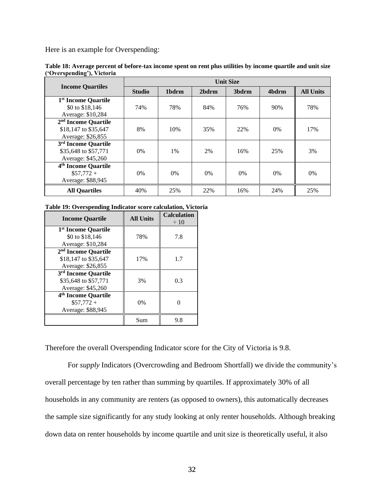Here is an example for Overspending:

|                                 | <b>Unit Size</b> |       |       |                   |       |                  |
|---------------------------------|------------------|-------|-------|-------------------|-------|------------------|
| <b>Income Quartiles</b>         | <b>Studio</b>    | 1bdrm | 2bdrm | 3 <sub>bdrm</sub> | 4bdrm | <b>All Units</b> |
| 1 <sup>st</sup> Income Quartile |                  |       |       |                   |       |                  |
| \$0 to \$18,146                 | 74%              | 78%   | 84%   | 76%               | 90%   | 78%              |
| Average: \$10,284               |                  |       |       |                   |       |                  |
| 2 <sup>nd</sup> Income Quartile |                  |       |       |                   |       |                  |
| \$18,147 to \$35,647            | 8%               | 10%   | 35%   | 22%               | $0\%$ | 17%              |
| Average: \$26,855               |                  |       |       |                   |       |                  |
| 3 <sup>rd</sup> Income Quartile |                  |       |       |                   |       |                  |
| \$35,648 to \$57,771            | $0\%$            | 1%    | 2%    | 16%               | 25%   | 3%               |
| Average: \$45,260               |                  |       |       |                   |       |                  |
| 4 <sup>th</sup> Income Quartile |                  |       |       |                   |       |                  |
| $$57,772+$                      | 0%               | $0\%$ | 0%    | $0\%$             | $0\%$ | 0%               |
| Average: \$88,945               |                  |       |       |                   |       |                  |
| <b>All Quartiles</b>            | 40%              | 25%   | 22%   | 16%               | 24%   | 25%              |

**Table 18: Average percent of before-tax income spent on rent plus utilities by income quartile and unit size ('Overspending'), Victoria** 

#### **Table 19: Overspending Indicator score calculation, Victoria**

| <b>Income Quartile</b>                                                       | <b>All Units</b> | <b>Calculation</b><br>$\div 10$ |
|------------------------------------------------------------------------------|------------------|---------------------------------|
| 1 <sup>st</sup> Income Quartile<br>\$0 to \$18,146<br>Average: \$10,284      | 78%              | 7.8                             |
| 2 <sup>nd</sup> Income Quartile<br>\$18,147 to \$35,647<br>Average: \$26,855 | 17%              | 1.7                             |
| 3 <sup>rd</sup> Income Quartile<br>\$35,648 to \$57,771<br>Average: \$45,260 | 3%               | 0.3                             |
| 4 <sup>th</sup> Income Quartile<br>$$57,772+$<br>Average: \$88,945           | $0\%$            |                                 |
|                                                                              | Sum              | 9.8                             |

Therefore the overall Overspending Indicator score for the City of Victoria is 9.8.

For *supply* Indicators (Overcrowding and Bedroom Shortfall) we divide the community's overall percentage by ten rather than summing by quartiles. If approximately 30% of all households in any community are renters (as opposed to owners), this automatically decreases the sample size significantly for any study looking at only renter households. Although breaking down data on renter households by income quartile and unit size is theoretically useful, it also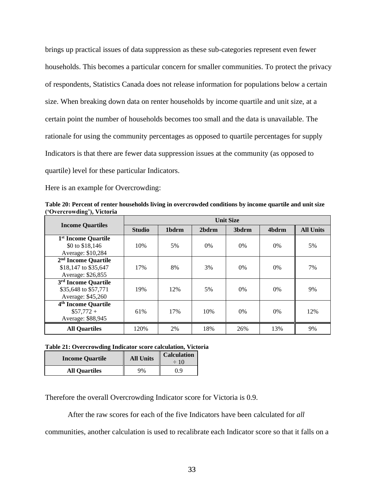brings up practical issues of data suppression as these sub-categories represent even fewer households. This becomes a particular concern for smaller communities. To protect the privacy of respondents, Statistics Canada does not release information for populations below a certain size. When breaking down data on renter households by income quartile and unit size, at a certain point the number of households becomes too small and the data is unavailable. The rationale for using the community percentages as opposed to quartile percentages for supply Indicators is that there are fewer data suppression issues at the community (as opposed to quartile) level for these particular Indicators.

Here is an example for Overcrowding:

**Table 20: Percent of renter households living in overcrowded conditions by income quartile and unit size ('Overcrowding'), Victoria** 

|                                                                              | <b>Unit Size</b> |                   |       |                   |       |                  |  |  |
|------------------------------------------------------------------------------|------------------|-------------------|-------|-------------------|-------|------------------|--|--|
| <b>Income Quartiles</b>                                                      | <b>Studio</b>    | 1 <sub>bdrm</sub> | 2bdrm | 3 <sub>bdrm</sub> | 4bdrm | <b>All Units</b> |  |  |
| 1 <sup>st</sup> Income Quartile<br>\$0 to \$18,146<br>Average: \$10,284      | 10%              | 5%                | 0%    | $0\%$             | $0\%$ | 5%               |  |  |
| 2 <sup>nd</sup> Income Quartile<br>\$18,147 to \$35,647<br>Average: \$26,855 | 17%              | 8%                | 3%    | $0\%$             | $0\%$ | 7%               |  |  |
| 3 <sup>rd</sup> Income Quartile<br>\$35,648 to \$57,771<br>Average: \$45,260 | 19%              | 12%               | 5%    | $0\%$             | $0\%$ | 9%               |  |  |
| 4 <sup>th</sup> Income Quartile<br>$$57,772+$<br>Average: \$88,945           | 61%              | 17%               | 10%   | $0\%$             | $0\%$ | 12%              |  |  |
| <b>All Quartiles</b>                                                         | 120%             | 2%                | 18%   | 26%               | 13%   | 9%               |  |  |

#### **Table 21: Overcrowding Indicator score calculation, Victoria**

| <b>Income Quartile</b> | <b>All Units</b> | <b>Calculation</b><br>$\div 10$ |  |
|------------------------|------------------|---------------------------------|--|
| <b>All Quartiles</b>   | 9%               | 0.9                             |  |

Therefore the overall Overcrowding Indicator score for Victoria is 0.9.

After the raw scores for each of the five Indicators have been calculated for *all*

communities, another calculation is used to recalibrate each Indicator score so that it falls on a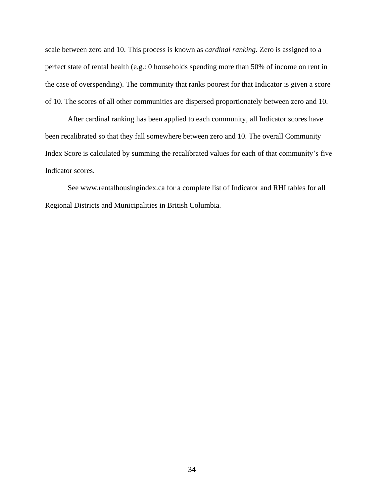scale between zero and 10. This process is known as *cardinal ranking*. Zero is assigned to a perfect state of rental health (e.g.: 0 households spending more than 50% of income on rent in the case of overspending). The community that ranks poorest for that Indicator is given a score of 10. The scores of all other communities are dispersed proportionately between zero and 10.

After cardinal ranking has been applied to each community, all Indicator scores have been recalibrated so that they fall somewhere between zero and 10. The overall Community Index Score is calculated by summing the recalibrated values for each of that community's five Indicator scores.

See www.rentalhousingindex.ca for a complete list of Indicator and RHI tables for all Regional Districts and Municipalities in British Columbia.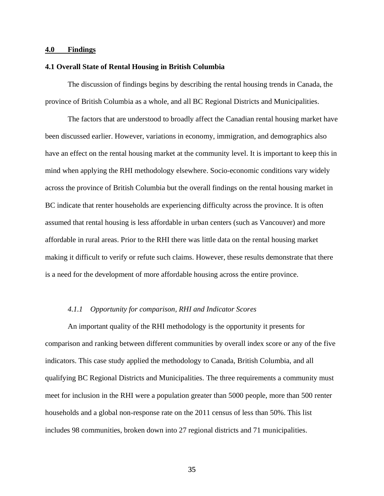## **4.0 Findings**

### **4.1 Overall State of Rental Housing in British Columbia**

The discussion of findings begins by describing the rental housing trends in Canada, the province of British Columbia as a whole, and all BC Regional Districts and Municipalities.

The factors that are understood to broadly affect the Canadian rental housing market have been discussed earlier. However, variations in economy, immigration, and demographics also have an effect on the rental housing market at the community level. It is important to keep this in mind when applying the RHI methodology elsewhere. Socio-economic conditions vary widely across the province of British Columbia but the overall findings on the rental housing market in BC indicate that renter households are experiencing difficulty across the province. It is often assumed that rental housing is less affordable in urban centers (such as Vancouver) and more affordable in rural areas. Prior to the RHI there was little data on the rental housing market making it difficult to verify or refute such claims. However, these results demonstrate that there is a need for the development of more affordable housing across the entire province.

#### *4.1.1 Opportunity for comparison, RHI and Indicator Scores*

An important quality of the RHI methodology is the opportunity it presents for comparison and ranking between different communities by overall index score or any of the five indicators. This case study applied the methodology to Canada, British Columbia, and all qualifying BC Regional Districts and Municipalities. The three requirements a community must meet for inclusion in the RHI were a population greater than 5000 people, more than 500 renter households and a global non-response rate on the 2011 census of less than 50%. This list includes 98 communities, broken down into 27 regional districts and 71 municipalities.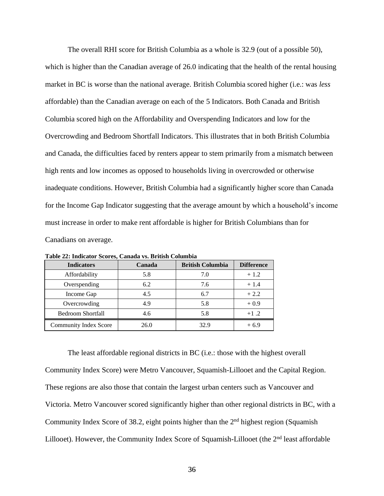The overall RHI score for British Columbia as a whole is 32.9 (out of a possible 50), which is higher than the Canadian average of 26.0 indicating that the health of the rental housing market in BC is worse than the national average. British Columbia scored higher (i.e.: was *less* affordable) than the Canadian average on each of the 5 Indicators. Both Canada and British Columbia scored high on the Affordability and Overspending Indicators and low for the Overcrowding and Bedroom Shortfall Indicators. This illustrates that in both British Columbia and Canada, the difficulties faced by renters appear to stem primarily from a mismatch between high rents and low incomes as opposed to households living in overcrowded or otherwise inadequate conditions. However, British Columbia had a significantly higher score than Canada for the Income Gap Indicator suggesting that the average amount by which a household's income must increase in order to make rent affordable is higher for British Columbians than for Canadians on average.

| <b>Indicators</b>            | Canada | <b>British Columbia</b> | <b>Difference</b> |
|------------------------------|--------|-------------------------|-------------------|
| Affordability                | 5.8    | 7.0                     | $+1.2$            |
| Overspending                 | 6.2    | 7.6                     | $+1.4$            |
| Income Gap                   | 4.5    | 6.7                     | $+2.2$            |
| Overcrowding                 | 4.9    | 5.8                     | $+0.9$            |
| <b>Bedroom Shortfall</b>     | 4.6    | 5.8                     | $+1.2$            |
| <b>Community Index Score</b> | 26.0   | 32.9                    | $+6.9$            |

**Table 22: Indicator Scores, Canada vs. British Columbia**

The least affordable regional districts in BC (i.e.: those with the highest overall Community Index Score) were Metro Vancouver, Squamish-Lillooet and the Capital Region. These regions are also those that contain the largest urban centers such as Vancouver and Victoria. Metro Vancouver scored significantly higher than other regional districts in BC, with a Community Index Score of 38.2, eight points higher than the  $2<sup>nd</sup>$  highest region (Squamish Lillooet). However, the Community Index Score of Squamish-Lillooet (the 2<sup>nd</sup> least affordable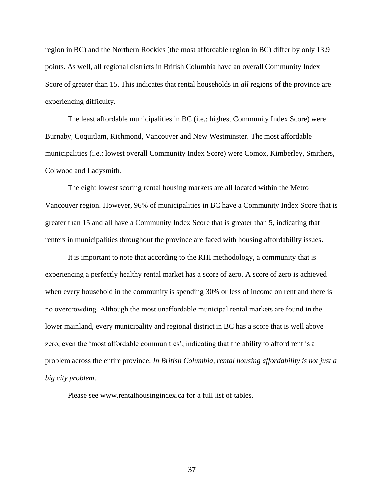region in BC) and the Northern Rockies (the most affordable region in BC) differ by only 13.9 points. As well, all regional districts in British Columbia have an overall Community Index Score of greater than 15. This indicates that rental households in *all* regions of the province are experiencing difficulty.

The least affordable municipalities in BC (i.e.: highest Community Index Score) were Burnaby, Coquitlam, Richmond, Vancouver and New Westminster. The most affordable municipalities (i.e.: lowest overall Community Index Score) were Comox, Kimberley, Smithers, Colwood and Ladysmith.

The eight lowest scoring rental housing markets are all located within the Metro Vancouver region. However, 96% of municipalities in BC have a Community Index Score that is greater than 15 and all have a Community Index Score that is greater than 5, indicating that renters in municipalities throughout the province are faced with housing affordability issues.

It is important to note that according to the RHI methodology, a community that is experiencing a perfectly healthy rental market has a score of zero. A score of zero is achieved when every household in the community is spending 30% or less of income on rent and there is no overcrowding. Although the most unaffordable municipal rental markets are found in the lower mainland, every municipality and regional district in BC has a score that is well above zero, even the 'most affordable communities', indicating that the ability to afford rent is a problem across the entire province. *In British Columbia, rental housing affordability is not just a big city problem*.

Please see www.rentalhousingindex.ca for a full list of tables.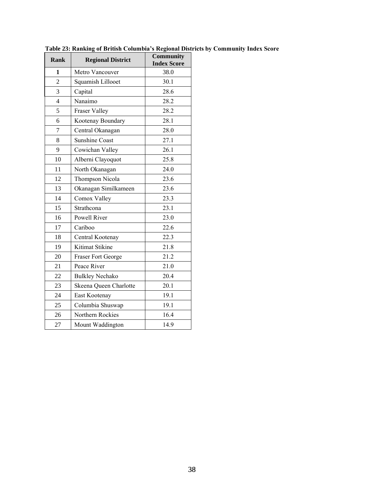| <b>Rank</b>    | <b>Regional District</b> | Community<br><b>Index Score</b> |
|----------------|--------------------------|---------------------------------|
| 1              | Metro Vancouver          | 38.0                            |
| $\overline{2}$ | Squamish Lillooet        | 30.1                            |
| 3              | Capital                  | 28.6                            |
| $\overline{4}$ | Nanaimo                  | 28.2                            |
| 5              | <b>Fraser Valley</b>     | 28.2                            |
| 6              | Kootenay Boundary        | 28.1                            |
| $\overline{7}$ | Central Okanagan         | 28.0                            |
| 8              | <b>Sunshine Coast</b>    | 27.1                            |
| 9              | Cowichan Valley          | 26.1                            |
| 10             | Alberni Clayoquot        | 25.8                            |
| 11             | North Okanagan           | 24.0                            |
| 12             | Thompson Nicola          | 23.6                            |
| 13             | Okanagan Similkameen     | 23.6                            |
| 14             | Comox Valley             | 23.3                            |
| 15             | Strathcona               | 23.1                            |
| 16             | Powell River             | 23.0                            |
| 17             | Cariboo                  | 22.6                            |
| 18             | Central Kootenay         | 22.3                            |
| 19             | Kitimat Stikine          | 21.8                            |
| 20             | Fraser Fort George       | 21.2                            |
| 21             | Peace River              | 21.0                            |
| 22             | <b>Bulkley Nechako</b>   | 20.4                            |
| 23             | Skeena Queen Charlotte   | 20.1                            |
| 24             | East Kootenay            | 19.1                            |
| 25             | Columbia Shuswap         | 19.1                            |
| 26             | Northern Rockies         | 16.4                            |
| 27             | Mount Waddington         | 14.9                            |

**Table 23: Ranking of British Columbia's Regional Districts by Community Index Score**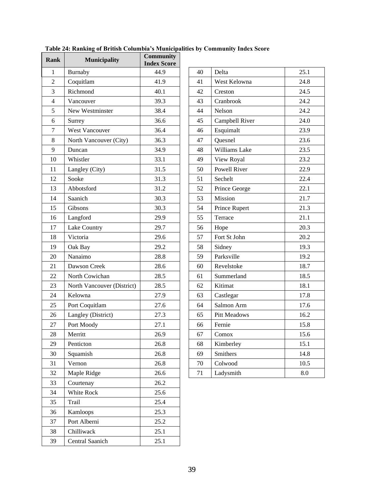| Rank           | <b>Municipality</b>        | <b>Community</b><br><b>Index Score</b> |    |                           |      |
|----------------|----------------------------|----------------------------------------|----|---------------------------|------|
| 1              | Burnaby                    | 44.9                                   | 40 | Delta                     | 25.1 |
| $\overline{2}$ | Coquitlam                  | 41.9                                   | 41 | West Kelowna              | 24.8 |
| 3              | Richmond                   | 40.1                                   | 42 | Creston                   | 24.5 |
| $\overline{4}$ | Vancouver                  | 39.3                                   | 43 | Cranbrook                 | 24.2 |
| 5              | New Westminster            | 38.4                                   | 44 | Nelson                    | 24.2 |
| 6              | Surrey                     | 36.6                                   | 45 | Campbell River            | 24.0 |
| $\tau$         | West Vancouver             | 36.4                                   | 46 | Esquimalt                 | 23.9 |
| 8              | North Vancouver (City)     | 36.3                                   | 47 | Quesnel                   | 23.6 |
| 9              | Duncan                     | 34.9                                   | 48 | Williams Lake             | 23.5 |
| 10             | Whistler                   | 33.1                                   | 49 | View Royal                | 23.2 |
| 11             | Langley (City)             | 31.5                                   | 50 | Powell River              | 22.9 |
| 12             | Sooke                      | 31.3                                   | 51 | Sechelt                   | 22.4 |
| 13             | Abbotsford                 | 31.2                                   | 52 | Prince George             | 22.1 |
| 14             | Saanich                    | 30.3                                   | 53 | Mission                   | 21.7 |
| 15             | Gibsons                    | 30.3                                   | 54 | Prince Rupert             | 21.3 |
| 16             | Langford                   | 29.9                                   | 55 | Terrace                   | 21.1 |
| 17             | Lake Country               | 29.7                                   | 56 | Hope                      | 20.3 |
| 18             | Victoria                   | 29.6                                   | 57 | Fort St John              | 20.2 |
| 19             | Oak Bay                    | 29.2                                   | 58 | Sidney                    | 19.3 |
| 20             | Nanaimo                    | 28.8                                   | 59 | Parksville                | 19.2 |
| 21             | Dawson Creek               | 28.6                                   | 60 | Revelstoke                | 18.7 |
| 22             | North Cowichan             | 28.5                                   | 61 | Summerland                | 18.5 |
| 23             | North Vancouver (District) | 28.5                                   | 62 | Kitimat                   | 18.1 |
| 24             | Kelowna                    | 27.9                                   | 63 | Castlegar                 | 17.8 |
| 25             | Port Coquitlam             | 27.6                                   | 64 | Salmon Arm                | 17.6 |
| 26             | Langley (District)         | 27.3                                   | 65 | Pitt Meadows              | 16.2 |
| 27             | Port Moody                 | 27.1                                   | 66 | Fernie                    | 15.8 |
| 28             | Merritt                    | 26.9                                   | 67 | $\mathop{\mathrm{Comox}}$ | 15.6 |
| 29             | Penticton                  | 26.8                                   | 68 | Kimberley                 | 15.1 |
| 30             | Squamish                   | 26.8                                   | 69 | Smithers                  | 14.8 |
| 31             | Vernon                     | 26.8                                   | 70 | Colwood                   | 10.5 |
| 32             | Maple Ridge                | 26.6                                   | 71 | Ladysmith                 | 8.0  |
| 33             | Courtenay                  | 26.2                                   |    |                           |      |
| 34             | White Rock                 | 25.6                                   |    |                           |      |
| 35             | Trail                      | 25.4                                   |    |                           |      |
| 36             | Kamloops                   | 25.3                                   |    |                           |      |
| 37             | Port Alberni               | 25.2                                   |    |                           |      |
| 38             | Chilliwack                 | 25.1                                   |    |                           |      |
| 39             | Central Saanich            | 25.1                                   |    |                           |      |
|                |                            |                                        |    |                           |      |

| 40 | Delta               | 25.1 |
|----|---------------------|------|
| 41 | West Kelowna        | 24.8 |
| 42 | Creston             | 24.5 |
| 43 | Cranbrook           | 24.2 |
| 44 | Nelson              | 24.2 |
| 45 | Campbell River      | 24.0 |
| 46 | Esquimalt           | 23.9 |
| 47 | Quesnel             | 23.6 |
| 48 | Williams Lake       | 23.5 |
| 49 | View Royal          | 23.2 |
| 50 | Powell River        | 22.9 |
| 51 | Sechelt             | 22.4 |
| 52 | Prince George       | 22.1 |
| 53 | Mission             | 21.7 |
| 54 | Prince Rupert       | 21.3 |
| 55 | Terrace             | 21.1 |
| 56 | Hope                | 20.3 |
| 57 | Fort St John        | 20.2 |
| 58 | Sidney              | 19.3 |
| 59 | Parksville          | 19.2 |
| 60 | Revelstoke          | 18.7 |
| 61 | Summerland          | 18.5 |
| 62 | Kitimat             | 18.1 |
| 63 | Castlegar           | 17.8 |
| 64 | Salmon Arm          | 17.6 |
| 65 | <b>Pitt Meadows</b> | 16.2 |
| 66 | Fernie              | 15.8 |
| 67 | Comox               | 15.6 |
| 68 | Kimberley           | 15.1 |
| 69 | Smithers            | 14.8 |
| 70 | Colwood             | 10.5 |
| 71 | Ladysmith           | 8.0  |

**Table 24: Ranking of British Columbia's Municipalities by Community Index Score**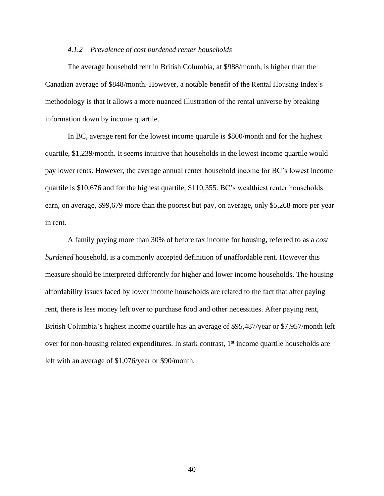#### *4.1.2 Prevalence of cost burdened renter households*

The average household rent in British Columbia, at \$988/month, is higher than the Canadian average of \$848/month. However, a notable benefit of the Rental Housing Index's methodology is that it allows a more nuanced illustration of the rental universe by breaking information down by income quartile.

In BC, average rent for the lowest income quartile is \$800/month and for the highest quartile, \$1,239/month. It seems intuitive that households in the lowest income quartile would pay lower rents. However, the average annual renter household income for BC's lowest income quartile is \$10,676 and for the highest quartile, \$110,355. BC's wealthiest renter households earn, on average, \$99,679 more than the poorest but pay, on average, only \$5,268 more per year in rent.

A family paying more than 30% of before tax income for housing, referred to as a *cost burdened* household, is a commonly accepted definition of unaffordable rent. However this measure should be interpreted differently for higher and lower income households. The housing affordability issues faced by lower income households are related to the fact that after paying rent, there is less money left over to purchase food and other necessities. After paying rent, British Columbia's highest income quartile has an average of \$95,487/year or \$7,957/month left over for non-housing related expenditures. In stark contrast,  $1<sup>st</sup>$  income quartile households are left with an average of \$1,076/year or \$90/month.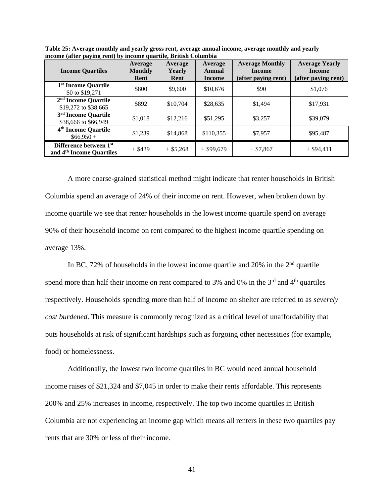| <b>Income Quartiles</b>                                        | Average<br><b>Monthly</b><br>Rent | Average<br>Yearly<br>Rent | Average<br>Annual<br>Income | <b>Average Monthly</b><br><b>Income</b><br>(after paying rent) | <b>Average Yearly</b><br><b>Income</b><br>(after paying rent) |
|----------------------------------------------------------------|-----------------------------------|---------------------------|-----------------------------|----------------------------------------------------------------|---------------------------------------------------------------|
| 1 <sup>st</sup> Income Quartile<br>\$0 to \$19,271             | \$800                             | \$9,600                   | \$10,676                    | \$90                                                           | \$1,076                                                       |
| 2 <sup>nd</sup> Income Quartile<br>\$19,272 to \$38,665        | \$892                             | \$10,704                  | \$28,635                    | \$1.494                                                        | \$17,931                                                      |
| 3 <sup>rd</sup> Income Quartile<br>\$38,666 to \$66,949        | \$1,018                           | \$12,216                  | \$51,295                    | \$3,257                                                        | \$39,079                                                      |
| 4 <sup>th</sup> Income Quartile<br>$$66,950+$                  | \$1,239                           | \$14,868                  | \$110,355                   | \$7,957                                                        | \$95,487                                                      |
| Difference between 1st<br>and 4 <sup>th</sup> Income Quartiles | $+$ \$439                         | $+$ \$5,268               | $+$ \$99,679                | $+ $7,867$                                                     | $+$ \$94,411                                                  |

**Table 25: Average monthly and yearly gross rent, average annual income, average monthly and yearly income (after paying rent) by income quartile, British Columbia**

A more coarse-grained statistical method might indicate that renter households in British Columbia spend an average of 24% of their income on rent. However, when broken down by income quartile we see that renter households in the lowest income quartile spend on average 90% of their household income on rent compared to the highest income quartile spending on average 13%.

In BC,  $72\%$  of households in the lowest income quartile and  $20\%$  in the  $2<sup>nd</sup>$  quartile spend more than half their income on rent compared to 3% and 0% in the  $3<sup>rd</sup>$  and  $4<sup>th</sup>$  quartiles respectively. Households spending more than half of income on shelter are referred to as *severely cost burdened*. This measure is commonly recognized as a critical level of unaffordability that puts households at risk of significant hardships such as forgoing other necessities (for example, food) or homelessness.

Additionally, the lowest two income quartiles in BC would need annual household income raises of \$21,324 and \$7,045 in order to make their rents affordable. This represents 200% and 25% increases in income, respectively. The top two income quartiles in British Columbia are not experiencing an income gap which means all renters in these two quartiles pay rents that are 30% or less of their income.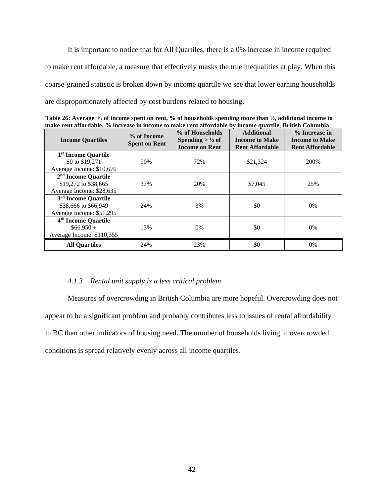It is important to notice that for All Quartiles, there is a 0% increase in income required to make rent affordable, a measure that effectively masks the true inequalities at play. When this coarse-grained statistic is broken down by income quartile we see that lower earning households are disproportionately affected by cost burdens related to housing.

**Table 26: Average % of income spent on rent, % of households spending more than ½, additional income to make rent affordable, % increase in income to make rent affordable by income quartile, British Columbia**

| <b>Income Quartiles</b>                            | % of Income<br><b>Spent on Rent</b> | % of Households<br>Spending $> \frac{1}{2}$ of<br><b>Income on Rent</b> | <b>Additional</b><br><b>Income to Make</b><br><b>Rent Affordable</b> | % Increase in<br><b>Income to Make</b><br><b>Rent Affordable</b> |
|----------------------------------------------------|-------------------------------------|-------------------------------------------------------------------------|----------------------------------------------------------------------|------------------------------------------------------------------|
| 1 <sup>st</sup> Income Quartile<br>\$0 to \$19,271 | 90%                                 | 72%                                                                     | \$21,324                                                             | 200\%                                                            |
| Average Income: \$10,676                           |                                     |                                                                         |                                                                      |                                                                  |
| 2 <sup>nd</sup> Income Quartile                    |                                     |                                                                         |                                                                      |                                                                  |
| \$19,272 to \$38,665                               | 37%                                 | 20%                                                                     | \$7,045                                                              | 25%                                                              |
| Average Income: \$28,635                           |                                     |                                                                         |                                                                      |                                                                  |
| 3 <sup>rd</sup> Income Quartile                    |                                     |                                                                         |                                                                      |                                                                  |
| \$38,666 to \$66,949                               | 24%                                 | 3%                                                                      | \$0                                                                  | 0%                                                               |
| Average Income: \$51,295                           |                                     |                                                                         |                                                                      |                                                                  |
| 4 <sup>th</sup> Income Quartile                    |                                     |                                                                         |                                                                      |                                                                  |
| $$66.950+$                                         | 13%                                 | $0\%$                                                                   | \$0                                                                  | 0%                                                               |
| Average Income: \$110,355                          |                                     |                                                                         |                                                                      |                                                                  |
| <b>All Quartiles</b>                               | 24%                                 | 23%                                                                     | \$0                                                                  | 0%                                                               |

#### *4.1.3 Rental unit supply is a less critical problem*

Measures of overcrowding in British Columbia are more hopeful. Overcrowding does not appear to be a significant problem and probably contributes less to issues of rental affordability in BC than other indicators of housing need. The number of households living in overcrowded conditions is spread relatively evenly across all income quartiles.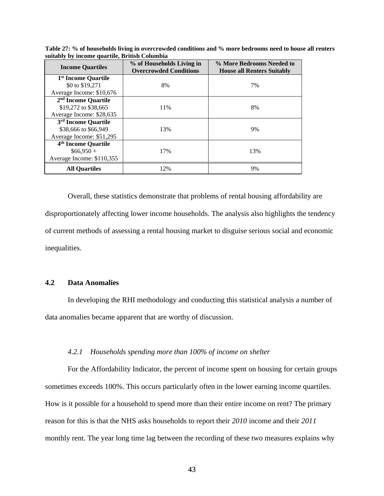| <b>Income Quartiles</b>         | % of Households Living in<br><b>Overcrowded Conditions</b> | % More Bedrooms Needed to<br><b>House all Renters Suitably</b> |
|---------------------------------|------------------------------------------------------------|----------------------------------------------------------------|
| 1 <sup>st</sup> Income Quartile |                                                            |                                                                |
| \$0 to \$19,271                 | 8%                                                         | 7%                                                             |
| Average Income: \$10,676        |                                                            |                                                                |
| 2 <sup>nd</sup> Income Quartile |                                                            |                                                                |
| \$19,272 to \$38,665            | 11%                                                        | 8%                                                             |
| Average Income: \$28,635        |                                                            |                                                                |
| 3 <sup>rd</sup> Income Quartile |                                                            |                                                                |
| \$38,666 to \$66,949            | 13%                                                        | 9%                                                             |
| Average Income: \$51,295        |                                                            |                                                                |
| 4 <sup>th</sup> Income Quartile |                                                            |                                                                |
| $$66.950+$                      | 17%                                                        | 13%                                                            |
| Average Income: \$110,355       |                                                            |                                                                |
| <b>All Ouartiles</b>            | 12%                                                        | 9%                                                             |

**Table 27: % of households living in overcrowded conditions and % more bedrooms need to house all renters suitably by income quartile, British Columbia**

Overall, these statistics demonstrate that problems of rental housing affordability are disproportionately affecting lower income households. The analysis also highlights the tendency of current methods of assessing a rental housing market to disguise serious social and economic inequalities.

# **4.2 Data Anomalies**

In developing the RHI methodology and conducting this statistical analysis a number of data anomalies became apparent that are worthy of discussion.

#### *4.2.1 Households spending more than 100% of income on shelter*

For the Affordability Indicator, the percent of income spent on housing for certain groups sometimes exceeds 100%. This occurs particularly often in the lower earning income quartiles. How is it possible for a household to spend more than their entire income on rent? The primary reason for this is that the NHS asks households to report their *2010* income and their *2011* monthly rent. The year long time lag between the recording of these two measures explains why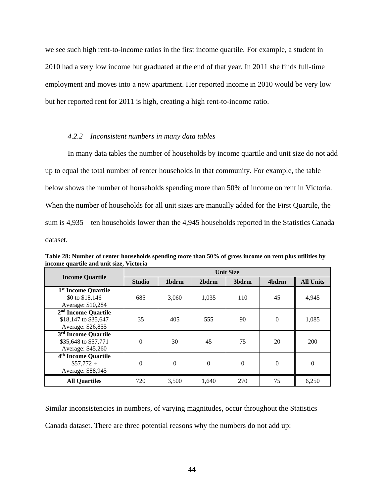we see such high rent-to-income ratios in the first income quartile. For example, a student in 2010 had a very low income but graduated at the end of that year. In 2011 she finds full-time employment and moves into a new apartment. Her reported income in 2010 would be very low but her reported rent for 2011 is high, creating a high rent-to-income ratio.

### *4.2.2 Inconsistent numbers in many data tables*

In many data tables the number of households by income quartile and unit size do not add up to equal the total number of renter households in that community. For example, the table below shows the number of households spending more than 50% of income on rent in Victoria. When the number of households for all unit sizes are manually added for the First Quartile, the sum is 4,935 – ten households lower than the 4,945 households reported in the Statistics Canada dataset.

| <b>Income Quartile</b>                                                       | <b>Unit Size</b> |          |          |          |          |                  |  |  |
|------------------------------------------------------------------------------|------------------|----------|----------|----------|----------|------------------|--|--|
|                                                                              | <b>Studio</b>    | 1bdrm    | 2bdrm    | 3bdrm    | 4bdrm    | <b>All Units</b> |  |  |
| 1 <sup>st</sup> Income Quartile<br>\$0 to \$18,146<br>Average: \$10,284      | 685              | 3,060    | 1,035    | 110      | 45       | 4,945            |  |  |
| 2 <sup>nd</sup> Income Quartile<br>\$18,147 to \$35,647<br>Average: \$26,855 | 35               | 405      | 555      | 90       | $\theta$ | 1,085            |  |  |
| 3 <sup>rd</sup> Income Quartile<br>\$35,648 to \$57,771<br>Average: \$45,260 | $\theta$         | 30       | 45       | 75       | 20       | 200              |  |  |
| 4 <sup>th</sup> Income Quartile<br>$$57,772+$<br>Average: \$88,945           | $\theta$         | $\Omega$ | $\Omega$ | $\Omega$ | $\theta$ | $\theta$         |  |  |
| <b>All Quartiles</b>                                                         | 720              | 3,500    | 1,640    | 270      | 75       | 6,250            |  |  |

**Table 28: Number of renter households spending more than 50% of gross income on rent plus utilities by income quartile and unit size, Victoria**

Similar inconsistencies in numbers, of varying magnitudes, occur throughout the Statistics Canada dataset. There are three potential reasons why the numbers do not add up: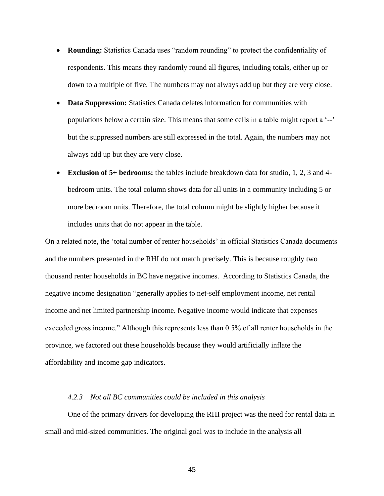- **Rounding:** Statistics Canada uses "random rounding" to protect the confidentiality of respondents. This means they randomly round all figures, including totals, either up or down to a multiple of five. The numbers may not always add up but they are very close.
- **Data Suppression:** Statistics Canada deletes information for communities with populations below a certain size. This means that some cells in a table might report a '--' but the suppressed numbers are still expressed in the total. Again, the numbers may not always add up but they are very close.
- **Exclusion of 5+ bedrooms:** the tables include breakdown data for studio, 1, 2, 3 and 4 bedroom units. The total column shows data for all units in a community including 5 or more bedroom units. Therefore, the total column might be slightly higher because it includes units that do not appear in the table.

On a related note, the 'total number of renter households' in official Statistics Canada documents and the numbers presented in the RHI do not match precisely. This is because roughly two thousand renter households in BC have negative incomes. According to Statistics Canada, the negative income designation "generally applies to net-self employment income, net rental income and net limited partnership income. Negative income would indicate that expenses exceeded gross income." Although this represents less than 0.5% of all renter households in the province, we factored out these households because they would artificially inflate the affordability and income gap indicators.

## *4.2.3 Not all BC communities could be included in this analysis*

One of the primary drivers for developing the RHI project was the need for rental data in small and mid-sized communities. The original goal was to include in the analysis all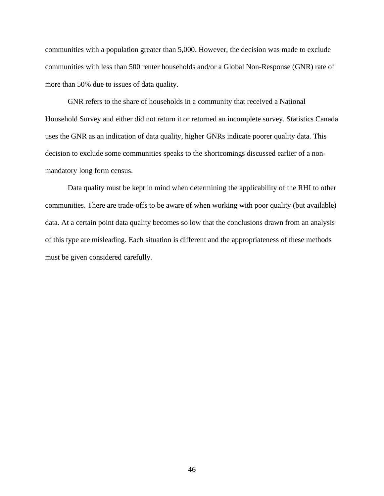communities with a population greater than 5,000. However, the decision was made to exclude communities with less than 500 renter households and/or a Global Non-Response (GNR) rate of more than 50% due to issues of data quality.

GNR refers to the share of households in a community that received a National Household Survey and either did not return it or returned an incomplete survey. Statistics Canada uses the GNR as an indication of data quality, higher GNRs indicate poorer quality data. This decision to exclude some communities speaks to the shortcomings discussed earlier of a nonmandatory long form census.

Data quality must be kept in mind when determining the applicability of the RHI to other communities. There are trade-offs to be aware of when working with poor quality (but available) data. At a certain point data quality becomes so low that the conclusions drawn from an analysis of this type are misleading. Each situation is different and the appropriateness of these methods must be given considered carefully.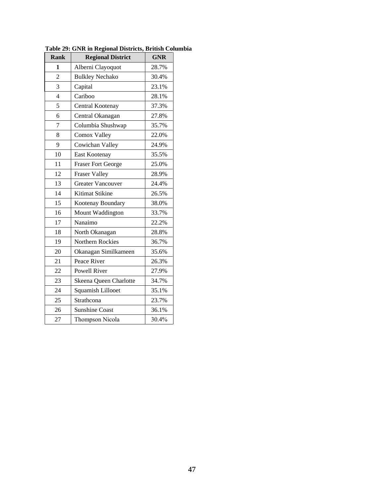| <b>Rank</b>    | <b>Regional District</b>  | <b>GNR</b> |
|----------------|---------------------------|------------|
| 1              | Alberni Clayoquot         | 28.7%      |
| $\overline{2}$ | <b>Bulkley Nechako</b>    | 30.4%      |
| 3              | Capital                   | 23.1%      |
| $\overline{4}$ | Cariboo                   | 28.1%      |
| 5              | Central Kootenay          | 37.3%      |
| 6              | Central Okanagan          | 27.8%      |
| 7              | Columbia Shushwap         | 35.7%      |
| 8              | Comox Valley              | 22.0%      |
| 9              | Cowichan Valley           | 24.9%      |
| 10             | East Kootenay             | 35.5%      |
| 11             | <b>Fraser Fort George</b> | 25.0%      |
| 12             | <b>Fraser Valley</b>      | 28.9%      |
| 13             | <b>Greater Vancouver</b>  | 24.4%      |
| 14             | Kitimat Stikine           | 26.5%      |
| 15             | Kootenay Boundary         | 38.0%      |
| 16             | Mount Waddington          | 33.7%      |
| 17             | Nanaimo                   | 22.2%      |
| 18             | North Okanagan            | 28.8%      |
| 19             | Northern Rockies          | 36.7%      |
| 20             | Okanagan Similkameen      | 35.6%      |
| 21             | Peace River               | 26.3%      |
| 22             | <b>Powell River</b>       | 27.9%      |
| 23             | Skeena Queen Charlotte    | 34.7%      |
| 24             | Squamish Lillooet         | 35.1%      |
| 25             | Strathcona                | 23.7%      |
| 26             | <b>Sunshine Coast</b>     | 36.1%      |
| 27             | Thompson Nicola           | 30.4%      |

**Table 29: GNR in Regional Districts, British Columbia**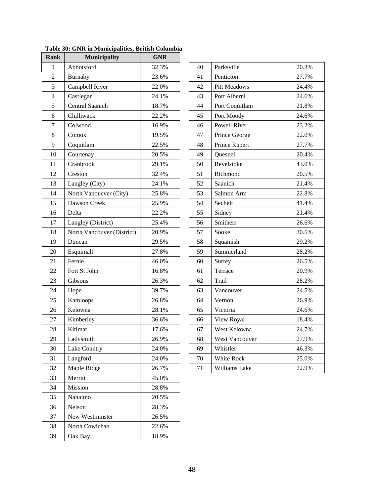| Rank             | <b>Municipality</b>        | <b>GNR</b> |    |                |       |
|------------------|----------------------------|------------|----|----------------|-------|
| 1                | Abbotsford                 | 32.3%      | 40 | Parksville     | 20.3% |
| $\overline{2}$   | Burnaby                    | 23.6%      | 41 | Penticton      | 27.7% |
| 3                | Campbell River             | 22.0%      | 42 | Pitt Meadows   | 24.4% |
| $\overline{4}$   | Castlegar                  | 24.1%      | 43 | Port Alberni   | 24.6% |
| 5                | Central Saanich            | 18.7%      | 44 | Port Coquitlam | 21.8% |
| 6                | Chilliwack                 | 22.2%      | 45 | Port Moody     | 24.6% |
| $\boldsymbol{7}$ | Colwood                    | 16.9%      | 46 | Powell River   | 23.2% |
| 8                | Comox                      | 19.5%      | 47 | Prince George  | 22.0% |
| 9                | Coquitlam                  | 22.5%      | 48 | Prince Rupert  | 27.7% |
| 10               | Courtenay                  | 20.5%      | 49 | Quesnel        | 20.4% |
| 11               | Cranbrook                  | 29.1%      | 50 | Revelstoke     | 43.0% |
| 12               | Creston                    | 32.4%      | 51 | Richmond       | 20.5% |
| 13               | Langley (City)             | 24.1%      | 52 | Saanich        | 21.4% |
| 14               | North Vanoucver (City)     | 25.8%      | 53 | Salmon Arm     | 22.8% |
| 15               | Dawson Creek               | 25.9%      | 54 | Sechelt        | 41.4% |
| 16               | Delta                      | 22.2%      | 55 | Sidney         | 21.4% |
| 17               | Langley (District)         | 25.4%      | 56 | Smithers       | 26.6% |
| 18               | North Vancouver (District) | 20.9%      | 57 | Sooke          | 30.5% |
| 19               | Duncan                     | 29.5%      | 58 | Squamish       | 29.2% |
| 20               | Esquimalt                  | 27.8%      | 59 | Summerland     | 28.2% |
| 21               | Fernie                     | 46.0%      | 60 | Surrey         | 26.5% |
| 22               | Fort St John               | 16.8%      | 61 | Terrace        | 20.9% |
| 23               | Gibsons                    | 26.3%      | 62 | Trail          | 28.2% |
| 24               | Hope                       | 39.7%      | 63 | Vancouver      | 24.5% |
| 25               | Kamloops                   | 26.8%      | 64 | Vernon         | 26.9% |
| 26               | Kelowna                    | 28.1%      | 65 | Victoria       | 24.6% |
| 27               | Kimberley                  | 36.6%      | 66 | View Royal     | 18.4% |
| 28               | Kitimat                    | 17.6%      | 67 | West Kelowna   | 24.7% |
| 29               | Ladysmith                  | 26.9%      | 68 | West Vancouver | 27.9% |
| 30               | Lake Country               | 24.0%      | 69 | Whistler       | 46.3% |
| 31               | Langford                   | 24.0%      | 70 | White Rock     | 25.0% |
| 32               | Maple Ridge                | 26.7%      | 71 | Williams Lake  | 22.9% |
| 33               | Merritt                    | 45.0%      |    |                |       |
| 34               | Mission                    | 28.8%      |    |                |       |
| 35               | Nanaimo                    | 20.5%      |    |                |       |
| 36               | Nelson                     | 28.3%      |    |                |       |
| 37               | New Westminster            | 26.5%      |    |                |       |
| 38               | North Cowichan             | 22.6%      |    |                |       |
|                  |                            |            |    |                |       |

| 40 | Parksville          | 20.3% |
|----|---------------------|-------|
| 41 | Penticton           | 27.7% |
| 42 | <b>Pitt Meadows</b> | 24.4% |
| 43 | Port Alberni        | 24.6% |
| 44 | Port Coquitlam      | 21.8% |
| 45 | Port Moody          | 24.6% |
| 46 | Powell River        | 23.2% |
| 47 | Prince George       | 22.0% |
| 48 | Prince Rupert       | 27.7% |
| 49 | Quesnel             | 20.4% |
| 50 | Revelstoke          | 43.0% |
| 51 | Richmond            | 20.5% |
| 52 | Saanich             | 21.4% |
| 53 | Salmon Arm          | 22.8% |
| 54 | Sechelt             | 41.4% |
| 55 | Sidney              | 21.4% |
| 56 | Smithers            | 26.6% |
| 57 | Sooke               | 30.5% |
| 58 | Squamish            | 29.2% |
| 59 | Summerland          | 28.2% |
| 60 | Surrey              | 26.5% |
| 61 | Terrace             | 20.9% |
| 62 | Trail               | 28.2% |
| 63 | Vancouver           | 24.5% |
| 64 | Vernon              | 26.9% |
| 65 | Victoria            | 24.6% |
| 66 | View Royal          | 18.4% |
| 67 | West Kelowna        | 24.7% |
| 68 | West Vancouver      | 27.9% |
| 69 | Whistler            | 46.3% |
| 70 | White Rock          | 25.0% |
| 71 | Williams Lake       | 22.9% |
|    |                     |       |

**Table 30: GNR in Municipalities, British Columbia**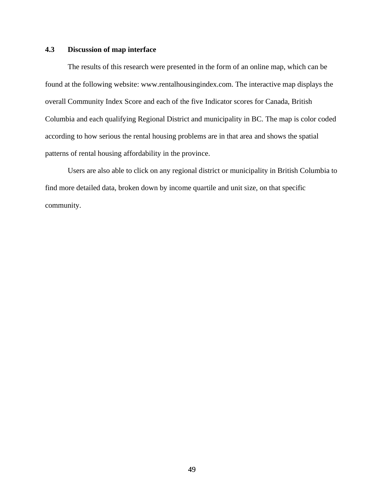# **4.3 Discussion of map interface**

The results of this research were presented in the form of an online map, which can be found at the following website: www.rentalhousingindex.com. The interactive map displays the overall Community Index Score and each of the five Indicator scores for Canada, British Columbia and each qualifying Regional District and municipality in BC. The map is color coded according to how serious the rental housing problems are in that area and shows the spatial patterns of rental housing affordability in the province.

Users are also able to click on any regional district or municipality in British Columbia to find more detailed data, broken down by income quartile and unit size, on that specific community.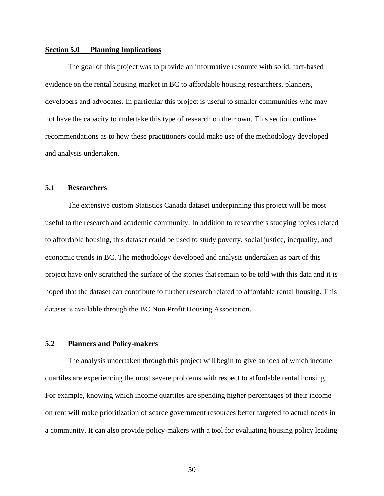## **Section 5.0 Planning Implications**

The goal of this project was to provide an informative resource with solid, fact-based evidence on the rental housing market in BC to affordable housing researchers, planners, developers and advocates. In particular this project is useful to smaller communities who may not have the capacity to undertake this type of research on their own. This section outlines recommendations as to how these practitioners could make use of the methodology developed and analysis undertaken.

# **5.1 Researchers**

The extensive custom Statistics Canada dataset underpinning this project will be most useful to the research and academic community. In addition to researchers studying topics related to affordable housing, this dataset could be used to study poverty, social justice, inequality, and economic trends in BC. The methodology developed and analysis undertaken as part of this project have only scratched the surface of the stories that remain to be told with this data and it is hoped that the dataset can contribute to further research related to affordable rental housing. This dataset is available through the BC Non-Profit Housing Association.

# **5.2 Planners and Policy-makers**

The analysis undertaken through this project will begin to give an idea of which income quartiles are experiencing the most severe problems with respect to affordable rental housing. For example, knowing which income quartiles are spending higher percentages of their income on rent will make prioritization of scarce government resources better targeted to actual needs in a community. It can also provide policy-makers with a tool for evaluating housing policy leading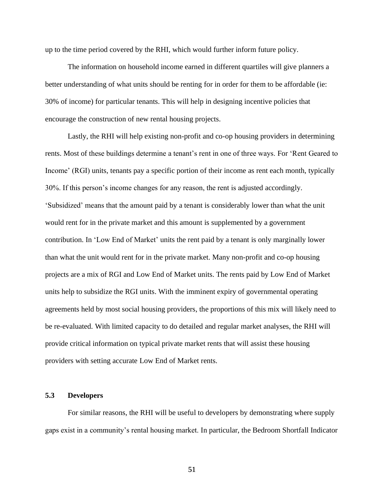up to the time period covered by the RHI, which would further inform future policy.

The information on household income earned in different quartiles will give planners a better understanding of what units should be renting for in order for them to be affordable (ie: 30% of income) for particular tenants. This will help in designing incentive policies that encourage the construction of new rental housing projects.

Lastly, the RHI will help existing non-profit and co-op housing providers in determining rents. Most of these buildings determine a tenant's rent in one of three ways. For 'Rent Geared to Income' (RGI) units, tenants pay a specific portion of their income as rent each month, typically 30%. If this person's income changes for any reason, the rent is adjusted accordingly. 'Subsidized' means that the amount paid by a tenant is considerably lower than what the unit would rent for in the private market and this amount is supplemented by a government contribution. In 'Low End of Market' units the rent paid by a tenant is only marginally lower than what the unit would rent for in the private market. Many non-profit and co-op housing projects are a mix of RGI and Low End of Market units. The rents paid by Low End of Market units help to subsidize the RGI units. With the imminent expiry of governmental operating agreements held by most social housing providers, the proportions of this mix will likely need to be re-evaluated. With limited capacity to do detailed and regular market analyses, the RHI will provide critical information on typical private market rents that will assist these housing providers with setting accurate Low End of Market rents.

## **5.3 Developers**

For similar reasons, the RHI will be useful to developers by demonstrating where supply gaps exist in a community's rental housing market. In particular, the Bedroom Shortfall Indicator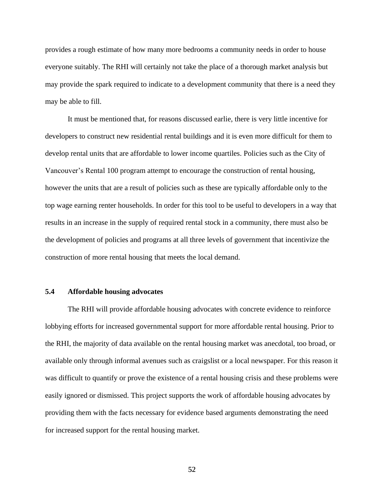provides a rough estimate of how many more bedrooms a community needs in order to house everyone suitably. The RHI will certainly not take the place of a thorough market analysis but may provide the spark required to indicate to a development community that there is a need they may be able to fill.

It must be mentioned that, for reasons discussed earlie, there is very little incentive for developers to construct new residential rental buildings and it is even more difficult for them to develop rental units that are affordable to lower income quartiles. Policies such as the City of Vancouver's Rental 100 program attempt to encourage the construction of rental housing, however the units that are a result of policies such as these are typically affordable only to the top wage earning renter households. In order for this tool to be useful to developers in a way that results in an increase in the supply of required rental stock in a community, there must also be the development of policies and programs at all three levels of government that incentivize the construction of more rental housing that meets the local demand.

### **5.4 Affordable housing advocates**

The RHI will provide affordable housing advocates with concrete evidence to reinforce lobbying efforts for increased governmental support for more affordable rental housing. Prior to the RHI, the majority of data available on the rental housing market was anecdotal, too broad, or available only through informal avenues such as craigslist or a local newspaper. For this reason it was difficult to quantify or prove the existence of a rental housing crisis and these problems were easily ignored or dismissed. This project supports the work of affordable housing advocates by providing them with the facts necessary for evidence based arguments demonstrating the need for increased support for the rental housing market.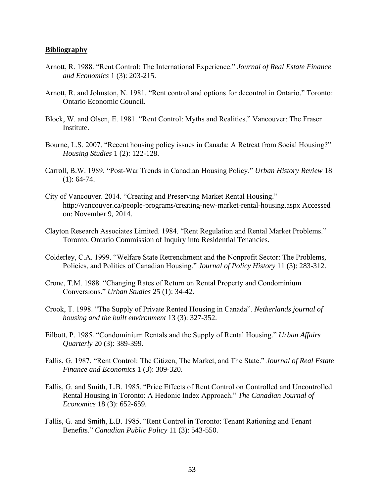#### **Bibliography**

- Arnott, R. 1988. "Rent Control: The International Experience." *Journal of Real Estate Finance and Economics* 1 (3): 203-215.
- Arnott, R. and Johnston, N. 1981. "Rent control and options for decontrol in Ontario." Toronto: Ontario Economic Council.
- Block, W. and Olsen, E. 1981. "Rent Control: Myths and Realities." Vancouver: The Fraser Institute.
- Bourne, L.S. 2007. "Recent housing policy issues in Canada: A Retreat from Social Housing?" *Housing Studies* 1 (2): 122-128.
- Carroll, B.W. 1989. "Post-War Trends in Canadian Housing Policy." *Urban History Review* 18  $(1): 64-74.$
- City of Vancouver. 2014. "Creating and Preserving Market Rental Housing." http://vancouver.ca/people-programs/creating-new-market-rental-housing.aspx Accessed on: November 9, 2014.
- Clayton Research Associates Limited. 1984. "Rent Regulation and Rental Market Problems." Toronto: Ontario Commission of Inquiry into Residential Tenancies.
- Colderley, C.A. 1999. "Welfare State Retrenchment and the Nonprofit Sector: The Problems, Policies, and Politics of Canadian Housing." *Journal of Policy History* 11 (3): 283-312.
- Crone, T.M. 1988. "Changing Rates of Return on Rental Property and Condominium Conversions." *Urban Studies* 25 (1): 34-42.
- Crook, T. 1998. "The Supply of Private Rented Housing in Canada". *Netherlands journal of housing and the built environment* 13 (3): 327-352.
- Eilbott, P. 1985. "Condominium Rentals and the Supply of Rental Housing." *Urban Affairs Quarterly* 20 (3): 389-399.
- Fallis, G. 1987. "Rent Control: The Citizen, The Market, and The State." *Journal of Real Estate Finance and Economics* 1 (3): 309-320.
- Fallis, G. and Smith, L.B. 1985. "Price Effects of Rent Control on Controlled and Uncontrolled Rental Housing in Toronto: A Hedonic Index Approach." *The Canadian Journal of Economics* 18 (3): 652-659.
- Fallis, G. and Smith, L.B. 1985. "Rent Control in Toronto: Tenant Rationing and Tenant Benefits." *Canadian Public Policy* 11 (3): 543-550.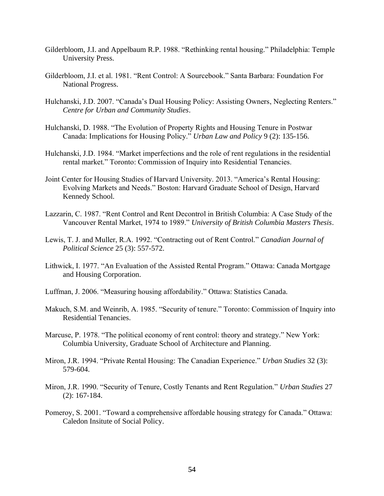- Gilderbloom, J.I. and Appelbaum R.P. 1988. "Rethinking rental housing." Philadelphia: Temple University Press.
- Gilderbloom, J.I. et al. 1981. "Rent Control: A Sourcebook." Santa Barbara: Foundation For National Progress.
- Hulchanski, J.D. 2007. "Canada's Dual Housing Policy: Assisting Owners, Neglecting Renters." *Centre for Urban and Community Studies*.
- Hulchanski, D. 1988. "The Evolution of Property Rights and Housing Tenure in Postwar Canada: Implications for Housing Policy." *Urban Law and Policy* 9 (2): 135-156.
- Hulchanski, J.D. 1984. "Market imperfections and the role of rent regulations in the residential rental market." Toronto: Commission of Inquiry into Residential Tenancies.
- Joint Center for Housing Studies of Harvard University. 2013. "America's Rental Housing: Evolving Markets and Needs." Boston: Harvard Graduate School of Design, Harvard Kennedy School.
- Lazzarin, C. 1987. "Rent Control and Rent Decontrol in British Columbia: A Case Study of the Vancouver Rental Market, 1974 to 1989." *University of British Columbia Masters Thesis*.
- Lewis, T. J. and Muller, R.A. 1992. "Contracting out of Rent Control." *Canadian Journal of Political Science* 25 (3): 557-572.
- Lithwick, I. 1977. "An Evaluation of the Assisted Rental Program." Ottawa: Canada Mortgage and Housing Corporation.
- Luffman, J. 2006. "Measuring housing affordability." Ottawa: Statistics Canada.
- Makuch, S.M. and Weinrib, A. 1985. "Security of tenure." Toronto: Commission of Inquiry into Residential Tenancies.
- Marcuse, P. 1978. "The political economy of rent control: theory and strategy." New York: Columbia University, Graduate School of Architecture and Planning.
- Miron, J.R. 1994. "Private Rental Housing: The Canadian Experience." *Urban Studies* 32 (3): 579-604.
- Miron, J.R. 1990. "Security of Tenure, Costly Tenants and Rent Regulation." *Urban Studies* 27 (2): 167-184.
- Pomeroy, S. 2001. "Toward a comprehensive affordable housing strategy for Canada." Ottawa: Caledon Insitute of Social Policy.